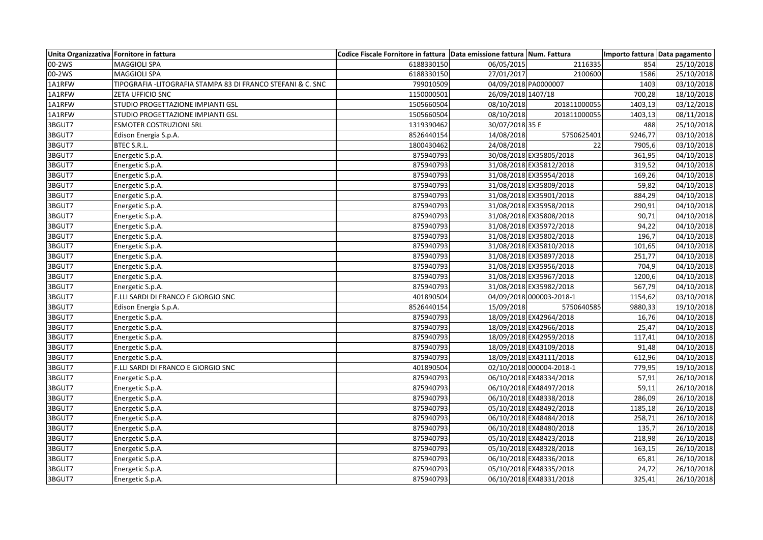| Unita Organizzativa Fornitore in fattura |                                                             | Codice Fiscale Fornitore in fattura Data emissione fattura Num. Fattura |                    |                          |         | Importo fattura Data pagamento |
|------------------------------------------|-------------------------------------------------------------|-------------------------------------------------------------------------|--------------------|--------------------------|---------|--------------------------------|
| 00-2WS                                   | MAGGIOLI SPA                                                | 6188330150                                                              | 06/05/2015         | 2116335                  | 854     | 25/10/2018                     |
| 00-2WS                                   | MAGGIOLI SPA                                                | 6188330150                                                              | 27/01/2017         | 2100600                  | 1586    | 25/10/2018                     |
| 1A1RFW                                   | TIPOGRAFIA -LITOGRAFIA STAMPA 83 DI FRANCO STEFANI & C. SNC | 799010509                                                               |                    | 04/09/2018 PA0000007     | 1403    | 03/10/2018                     |
| 1A1RFW                                   | ZETA UFFICIO SNC                                            | 1150000501                                                              | 26/09/2018 1407/18 |                          | 700,28  | 18/10/2018                     |
| 1A1RFW                                   | STUDIO PROGETTAZIONE IMPIANTI GSL                           | 1505660504                                                              | 08/10/2018         | 201811000055             | 1403,13 | 03/12/2018                     |
| 1A1RFW                                   | STUDIO PROGETTAZIONE IMPIANTI GSL                           | 1505660504                                                              | 08/10/2018         | 201811000055             | 1403,13 | 08/11/2018                     |
| 3BGUT7                                   | <b>ESMOTER COSTRUZIONI SRL</b>                              | 1319390462                                                              | 30/07/2018 35 E    |                          | 488     | 25/10/2018                     |
| 3BGUT7                                   | Edison Energia S.p.A.                                       | 8526440154                                                              | 14/08/2018         | 5750625401               | 9246,77 | 03/10/2018                     |
| 3BGUT7                                   | BTEC S.R.L.                                                 | 1800430462                                                              | 24/08/2018         | 22                       | 7905,6  | 03/10/2018                     |
| 3BGUT7                                   | Energetic S.p.A.                                            | 875940793                                                               |                    | 30/08/2018 EX35805/2018  | 361,95  | 04/10/2018                     |
| 3BGUT7                                   | Energetic S.p.A.                                            | 875940793                                                               |                    | 31/08/2018 EX35812/2018  | 319,52  | 04/10/2018                     |
| 3BGUT7                                   | Energetic S.p.A.                                            | 875940793                                                               |                    | 31/08/2018 EX35954/2018  | 169,26  | 04/10/2018                     |
| 3BGUT7                                   | Energetic S.p.A.                                            | 875940793                                                               |                    | 31/08/2018 EX35809/2018  | 59,82   | 04/10/2018                     |
| 3BGUT7                                   | Energetic S.p.A.                                            | 875940793                                                               |                    | 31/08/2018 EX35901/2018  | 884,29  | 04/10/2018                     |
| 3BGUT7                                   | Energetic S.p.A.                                            | 875940793                                                               |                    | 31/08/2018 EX35958/2018  | 290,91  | 04/10/2018                     |
| 3BGUT7                                   | Energetic S.p.A.                                            | 875940793                                                               |                    | 31/08/2018 EX35808/2018  | 90,71   | 04/10/2018                     |
| 3BGUT7                                   | Energetic S.p.A.                                            | 875940793                                                               |                    | 31/08/2018 EX35972/2018  | 94,22   | 04/10/2018                     |
| 3BGUT7                                   | Energetic S.p.A.                                            | 875940793                                                               |                    | 31/08/2018 EX35802/2018  | 196,7   | 04/10/2018                     |
| 3BGUT7                                   | Energetic S.p.A.                                            | 875940793                                                               |                    | 31/08/2018 EX35810/2018  | 101,65  | 04/10/2018                     |
| 3BGUT7                                   | Energetic S.p.A.                                            | 875940793                                                               |                    | 31/08/2018 EX35897/2018  | 251,77  | 04/10/2018                     |
| 3BGUT7                                   | Energetic S.p.A.                                            | 875940793                                                               |                    | 31/08/2018 EX35956/2018  | 704,9   | 04/10/2018                     |
| 3BGUT7                                   | Energetic S.p.A.                                            | 875940793                                                               |                    | 31/08/2018 EX35967/2018  | 1200,6  | 04/10/2018                     |
| 3BGUT7                                   | Energetic S.p.A.                                            | 875940793                                                               |                    | 31/08/2018 EX35982/2018  | 567,79  | 04/10/2018                     |
| 3BGUT7                                   | F.LLI SARDI DI FRANCO E GIORGIO SNC                         | 401890504                                                               |                    | 04/09/2018 000003-2018-1 | 1154,62 | 03/10/2018                     |
| 3BGUT7                                   | Edison Energia S.p.A.                                       | 8526440154                                                              | 15/09/2018         | 5750640585               | 9880,33 | 19/10/2018                     |
| 3BGUT7                                   | Energetic S.p.A.                                            | 875940793                                                               |                    | 18/09/2018 EX42964/2018  | 16,76   | 04/10/2018                     |
| 3BGUT7                                   | Energetic S.p.A.                                            | 875940793                                                               |                    | 18/09/2018 EX42966/2018  | 25,47   | 04/10/2018                     |
| 3BGUT7                                   | Energetic S.p.A.                                            | 875940793                                                               |                    | 18/09/2018 EX42959/2018  | 117,41  | 04/10/2018                     |
| 3BGUT7                                   | Energetic S.p.A.                                            | 875940793                                                               |                    | 18/09/2018 EX43109/2018  | 91,48   | 04/10/2018                     |
| 3BGUT7                                   | Energetic S.p.A.                                            | 875940793                                                               |                    | 18/09/2018 EX43111/2018  | 612,96  | 04/10/2018                     |
| 3BGUT7                                   | F.LLI SARDI DI FRANCO E GIORGIO SNC                         | 401890504                                                               |                    | 02/10/2018 000004-2018-1 | 779,95  | 19/10/2018                     |
| 3BGUT7                                   | Energetic S.p.A.                                            | 875940793                                                               |                    | 06/10/2018 EX48334/2018  | 57,91   | 26/10/2018                     |
| 3BGUT7                                   | Energetic S.p.A.                                            | 875940793                                                               |                    | 06/10/2018 EX48497/2018  | 59,11   | 26/10/2018                     |
| 3BGUT7                                   | Energetic S.p.A.                                            | 875940793                                                               |                    | 06/10/2018 EX48338/2018  | 286,09  | 26/10/2018                     |
| 3BGUT7                                   | Energetic S.p.A.                                            | 875940793                                                               |                    | 05/10/2018 EX48492/2018  | 1185,18 | 26/10/2018                     |
| 3BGUT7                                   | Energetic S.p.A.                                            | 875940793                                                               |                    | 06/10/2018 EX48484/2018  | 258,71  | 26/10/2018                     |
| 3BGUT7                                   | Energetic S.p.A.                                            | 875940793                                                               |                    | 06/10/2018 EX48480/2018  | 135,7   | 26/10/2018                     |
| 3BGUT7                                   | Energetic S.p.A.                                            | 875940793                                                               |                    | 05/10/2018 EX48423/2018  | 218,98  | 26/10/2018                     |
| 3BGUT7                                   | Energetic S.p.A.                                            | 875940793                                                               |                    | 05/10/2018 EX48328/2018  | 163,15  | 26/10/2018                     |
| 3BGUT7                                   | Energetic S.p.A.                                            | 875940793                                                               |                    | 06/10/2018 EX48336/2018  | 65,81   | 26/10/2018                     |
| 3BGUT7                                   | Energetic S.p.A.                                            | 875940793                                                               |                    | 05/10/2018 EX48335/2018  | 24,72   | 26/10/2018                     |
| 3BGUT7                                   | Energetic S.p.A.                                            | 875940793                                                               |                    | 06/10/2018 EX48331/2018  | 325,41  | 26/10/2018                     |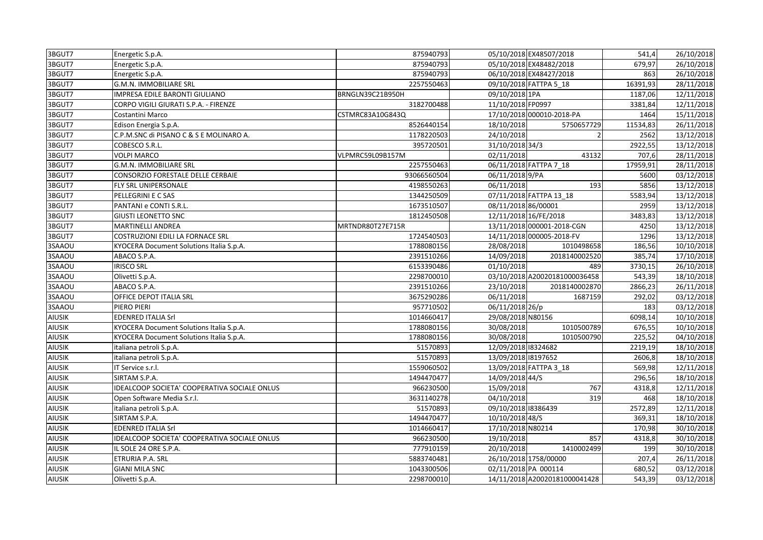| 3BGUT7        | Energetic S.p.A.                                    | 875940793        |                       | 05/10/2018 EX48507/2018       | 541.4    | 26/10/2018              |
|---------------|-----------------------------------------------------|------------------|-----------------------|-------------------------------|----------|-------------------------|
| 3BGUT7        | Energetic S.p.A.                                    | 875940793        |                       | 05/10/2018 EX48482/2018       | 679,97   | $\overline{26}/10/2018$ |
| 3BGUT7        | Energetic S.p.A.                                    | 875940793        |                       | 06/10/2018 EX48427/2018       | 863      | 26/10/2018              |
| 3BGUT7        | G.M.N. IMMOBILIARE SRL                              | 2257550463       |                       | 09/10/2018 FATTPA 5_18        | 16391,93 | 28/11/2018              |
| 3BGUT7        | IMPRESA EDILE BARONTI GIULIANO                      | BRNGLN39C21B950H | 09/10/2018 1PA        |                               | 1187,06  | 12/11/2018              |
| 3BGUT7        | CORPO VIGILI GIURATI S.P.A. - FIRENZE               | 3182700488       | 11/10/2018 FP0997     |                               | 3381,84  | 12/11/2018              |
| 3BGUT7        | Costantini Marco                                    | CSTMRC83A10G843Q |                       | 17/10/2018 000010-2018-PA     | 1464     | 15/11/2018              |
| 3BGUT7        | Edison Energia S.p.A.                               | 8526440154       | 18/10/2018            | 5750657729                    | 11534,83 | 26/11/2018              |
| 3BGUT7        | C.P.M.SNC di PISANO C & S E MOLINARO A.             | 1178220503       | 24/10/2018            | $\overline{2}$                | 2562     | 13/12/2018              |
| 3BGUT7        | COBESCO S.R.L.                                      | 395720501        | 31/10/2018 34/3       |                               | 2922,55  | 13/12/2018              |
| 3BGUT7        | <b>VOLPI MARCO</b>                                  | VLPMRC59L09B157M | 02/11/2018            | 43132                         | 707,6    | 28/11/2018              |
| 3BGUT7        | G.M.N. IMMOBILIARE SRL                              | 2257550463       |                       | 06/11/2018 FATTPA 7_18        | 17959,91 | 28/11/2018              |
| 3BGUT7        | CONSORZIO FORESTALE DELLE CERBAIE                   | 93066560504      | 06/11/2018 9/PA       |                               | 5600     | 03/12/2018              |
| 3BGUT7        | FLY SRL UNIPERSONALE                                | 4198550263       | 06/11/2018            | 193                           | 5856     | 13/12/2018              |
| 3BGUT7        | PELLEGRINI E C SAS                                  | 1344250509       |                       | 07/11/2018 FATTPA 13_18       | 5583,94  | 13/12/2018              |
| 3BGUT7        | PANTANI e CONTI S.R.L.                              | 1673510507       | 08/11/2018 86/00001   |                               | 2959     | 13/12/2018              |
| 3BGUT7        | <b>GIUSTI LEONETTO SNC</b>                          | 1812450508       | 12/11/2018 16/FE/2018 |                               | 3483,83  | 13/12/2018              |
| 3BGUT7        | MARTINELLI ANDREA                                   | MRTNDR80T27E715R |                       | 13/11/2018 000001-2018-CGN    | 4250     | 13/12/2018              |
| 3BGUT7        | COSTRUZIONI EDILI LA FORNACE SRL                    | 1724540503       |                       | 14/11/2018 000005-2018-FV     | 1296     | 13/12/2018              |
| 3SAAOU        | KYOCERA Document Solutions Italia S.p.A.            | 1788080156       | 28/08/2018            | 1010498658                    | 186,56   | 10/10/2018              |
| 3SAAOU        | ABACO S.P.A.                                        | 2391510266       | 14/09/2018            | 2018140002520                 | 385,74   | 17/10/2018              |
| 3SAAOU        | <b>IRISCO SRL</b>                                   | 6153390486       | 01/10/2018            | 489                           | 3730,15  | 26/10/2018              |
| 3SAAOU        | Olivetti S.p.A.                                     | 2298700010       |                       | 03/10/2018 A20020181000036458 | 543,39   | 18/10/2018              |
| 3SAAOU        | ABACO S.P.A.                                        | 2391510266       | 23/10/2018            | 2018140002870                 | 2866,23  | 26/11/2018              |
| 3SAAOU        | OFFICE DEPOT ITALIA SRL                             | 3675290286       | 06/11/2018            | 1687159                       | 292,02   | 03/12/2018              |
| 3SAAOU        | PIERO PIERI                                         | 957710502        | 06/11/2018 26/p       |                               | 183      | 03/12/2018              |
| AIUSIK        | EDENRED ITALIA Srl                                  | 1014660417       | 29/08/2018 N80156     |                               | 6098,14  | 10/10/2018              |
| <b>AIUSIK</b> | KYOCERA Document Solutions Italia S.p.A.            | 1788080156       | 30/08/2018            | 1010500789                    | 676,55   | 10/10/2018              |
| <b>AIUSIK</b> | KYOCERA Document Solutions Italia S.p.A.            | 1788080156       | 30/08/2018            | 1010500790                    | 225,52   | 04/10/2018              |
| AIUSIK        | italiana petroli S.p.A.                             | 51570893         | 12/09/2018 8324682    |                               | 2219,19  | 18/10/2018              |
| AIUSIK        | italiana petroli S.p.A.                             | 51570893         | 13/09/2018 8197652    |                               | 2606,8   | 18/10/2018              |
| <b>AIUSIK</b> | IT Service s.r.l.                                   | 1559060502       |                       | 13/09/2018 FATTPA 3_18        | 569,98   | 12/11/2018              |
| <b>AIUSIK</b> | SIRTAM S.P.A.                                       | 1494470477       | 14/09/2018 44/S       |                               | 296,56   | 18/10/2018              |
| AIUSIK        | <b>IDEALCOOP SOCIETA' COOPERATIVA SOCIALE ONLUS</b> | 966230500        | 15/09/2018            | 767                           | 4318,8   | 12/11/2018              |
| <b>AIUSIK</b> | Open Software Media S.r.l.                          | 3631140278       | 04/10/2018            | 319                           | 468      | 18/10/2018              |
| <b>AIUSIK</b> | italiana petroli S.p.A.                             | 51570893         | 09/10/2018 18386439   |                               | 2572,89  | 12/11/2018              |
| <b>AIUSIK</b> | SIRTAM S.P.A.                                       | 1494470477       | 10/10/2018 48/S       |                               | 369,31   | 18/10/2018              |
| <b>AIUSIK</b> | EDENRED ITALIA Srl                                  | 1014660417       | 17/10/2018 N80214     |                               | 170,98   | 30/10/2018              |
| <b>AIUSIK</b> | IDEALCOOP SOCIETA' COOPERATIVA SOCIALE ONLUS        | 966230500        | 19/10/2018            | 857                           | 4318,8   | 30/10/2018              |
| <b>AIUSIK</b> | IL SOLE 24 ORE S.P.A.                               | 777910159        | 20/10/2018            | 1410002499                    | 199      | 30/10/2018              |
| <b>AIUSIK</b> | ETRURIA P.A. SRL                                    | 5883740481       |                       | 26/10/2018 1758/00000         | 207,4    | 26/11/2018              |
| <b>AIUSIK</b> | GIANI MILA SNC                                      | 1043300506       | 02/11/2018 PA 000114  |                               | 680,52   | 03/12/2018              |
| <b>AIUSIK</b> | Olivetti S.p.A.                                     | 2298700010       |                       | 14/11/2018 A20020181000041428 | 543,39   | 03/12/2018              |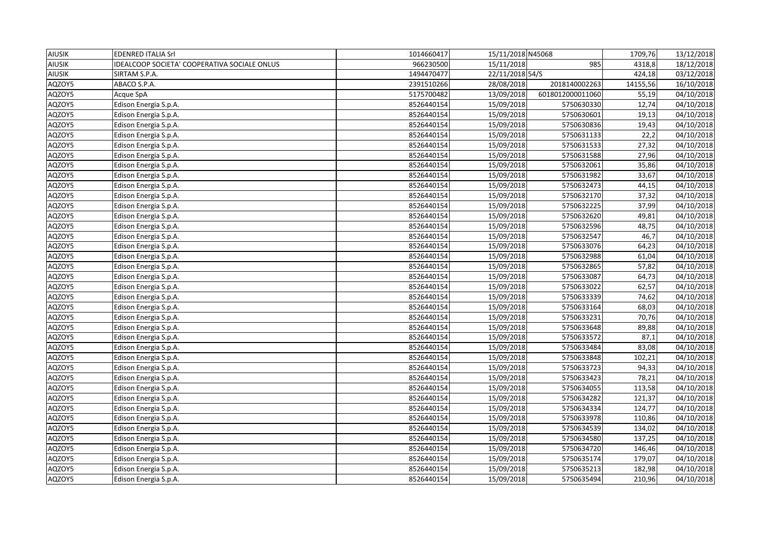| <b>AIUSIK</b> | <b>EDENRED ITALIA Srl</b>                    | 1014660417 | 15/11/2018 N45068 |                  | 1709,76  | 13/12/2018          |
|---------------|----------------------------------------------|------------|-------------------|------------------|----------|---------------------|
| <b>AIUSIK</b> | IDEALCOOP SOCIETA' COOPERATIVA SOCIALE ONLUS | 966230500  | 15/11/2018        | 985              | 4318,8   | 18/12/2018          |
| <b>AIUSIK</b> | SIRTAM S.P.A.                                | 1494470477 | 22/11/2018 54/S   |                  | 424,18   | 03/12/2018          |
| AQZOY5        | ABACO S.P.A.                                 | 2391510266 | 28/08/2018        | 2018140002263    | 14155,56 | 16/10/2018          |
| AQZOY5        | Acque SpA                                    | 5175700482 | 13/09/2018        | 6018012000011060 | 55,19    | 04/10/2018          |
| AQZOY5        | Edison Energia S.p.A.                        | 8526440154 | 15/09/2018        | 5750630330       | 12,74    | 04/10/2018          |
| AQZOY5        | Edison Energia S.p.A.                        | 8526440154 | 15/09/2018        | 5750630601       | 19,13    | 04/10/2018          |
| AQZOY5        | Edison Energia S.p.A.                        | 8526440154 | 15/09/2018        | 5750630836       | 19,43    | 04/10/2018          |
| AQZOY5        | Edison Energia S.p.A.                        | 8526440154 | 15/09/2018        | 5750631133       | 22,2     | 04/10/2018          |
| AQZOY5        | Edison Energia S.p.A.                        | 8526440154 | 15/09/2018        | 5750631533       | 27,32    | $\sqrt{04/10}/2018$ |
| AQZOY5        | Edison Energia S.p.A.                        | 8526440154 | 15/09/2018        | 5750631588       | 27,96    | 04/10/2018          |
| AQZOY5        | Edison Energia S.p.A.                        | 8526440154 | 15/09/2018        | 5750632061       | 35,86    | 04/10/2018          |
| AQZOY5        | Edison Energia S.p.A.                        | 8526440154 | 15/09/2018        | 5750631982       | 33,67    | 04/10/2018          |
| AQZOY5        | Edison Energia S.p.A.                        | 8526440154 | 15/09/2018        | 5750632473       | 44,15    | 04/10/2018          |
| AQZOY5        | Edison Energia S.p.A.                        | 8526440154 | 15/09/2018        | 5750632170       | 37,32    | 04/10/2018          |
| AQZOY5        | Edison Energia S.p.A.                        | 8526440154 | 15/09/2018        | 5750632225       | 37,99    | 04/10/2018          |
| AQZOY5        | Edison Energia S.p.A.                        | 8526440154 | 15/09/2018        | 5750632620       | 49,81    | 04/10/2018          |
| AQZOY5        | Edison Energia S.p.A.                        | 8526440154 | 15/09/2018        | 5750632596       | 48,75    | 04/10/2018          |
| AQZOY5        | Edison Energia S.p.A.                        | 8526440154 | 15/09/2018        | 5750632547       | 46,7     | 04/10/2018          |
| AQZOY5        | Edison Energia S.p.A.                        | 8526440154 | 15/09/2018        | 5750633076       | 64,23    | 04/10/2018          |
| AQZOY5        | Edison Energia S.p.A.                        | 8526440154 | 15/09/2018        | 5750632988       | 61,04    | 04/10/2018          |
| AQZOY5        | Edison Energia S.p.A.                        | 8526440154 | 15/09/2018        | 5750632865       | 57,82    | 04/10/2018          |
| AQZOY5        | Edison Energia S.p.A.                        | 8526440154 | 15/09/2018        | 5750633087       | 64,73    | 04/10/2018          |
| AQZOY5        | Edison Energia S.p.A.                        | 8526440154 | 15/09/2018        | 5750633022       | 62,57    | 04/10/2018          |
| AQZOY5        | Edison Energia S.p.A.                        | 8526440154 | 15/09/2018        | 5750633339       | 74,62    | 04/10/2018          |
| AQZOY5        | Edison Energia S.p.A.                        | 8526440154 | 15/09/2018        | 5750633164       | 68,03    | 04/10/2018          |
| AQZOY5        | Edison Energia S.p.A.                        | 8526440154 | 15/09/2018        | 5750633231       | 70,76    | 04/10/2018          |
| AQZOY5        | Edison Energia S.p.A.                        | 8526440154 | 15/09/2018        | 5750633648       | 89,88    | 04/10/2018          |
| AQZOY5        | Edison Energia S.p.A.                        | 8526440154 | 15/09/2018        | 5750633572       | 87,1     | $\sqrt{04}/10/2018$ |
| AQZOY5        | Edison Energia S.p.A.                        | 8526440154 | 15/09/2018        | 5750633484       | 83,08    | 04/10/2018          |
| AQZOY5        | Edison Energia S.p.A.                        | 8526440154 | 15/09/2018        | 5750633848       | 102,21   | 04/10/2018          |
| AQZOY5        | Edison Energia S.p.A.                        | 8526440154 | 15/09/2018        | 5750633723       | 94,33    | 04/10/2018          |
| AQZOY5        | Edison Energia S.p.A.                        | 8526440154 | 15/09/2018        | 5750633423       | 78,21    | 04/10/2018          |
| AQZOY5        | Edison Energia S.p.A.                        | 8526440154 | 15/09/2018        | 5750634055       | 113,58   | 04/10/2018          |
| AQZOY5        | Edison Energia S.p.A.                        | 8526440154 | 15/09/2018        | 5750634282       | 121,37   | 04/10/2018          |
| AQZOY5        | Edison Energia S.p.A.                        | 8526440154 | 15/09/2018        | 5750634334       | 124,77   | 04/10/2018          |
| AQZOY5        | Edison Energia S.p.A.                        | 8526440154 | 15/09/2018        | 5750633978       | 110,86   | 04/10/2018          |
| AQZOY5        | Edison Energia S.p.A.                        | 8526440154 | 15/09/2018        | 5750634539       | 134,02   | 04/10/2018          |
| AQZOY5        | Edison Energia S.p.A.                        | 8526440154 | 15/09/2018        | 5750634580       | 137,25   | 04/10/2018          |
| AQZOY5        | Edison Energia S.p.A.                        | 8526440154 | 15/09/2018        | 5750634720       | 146,46   | 04/10/2018          |
| AQZOY5        | Edison Energia S.p.A.                        | 8526440154 | 15/09/2018        | 5750635174       | 179,07   | 04/10/2018          |
| AQZOY5        | Edison Energia S.p.A.                        | 8526440154 | 15/09/2018        | 5750635213       | 182,98   | 04/10/2018          |
| AQZOY5        | Edison Energia S.p.A.                        | 8526440154 | 15/09/2018        | 5750635494       | 210,96   | 04/10/2018          |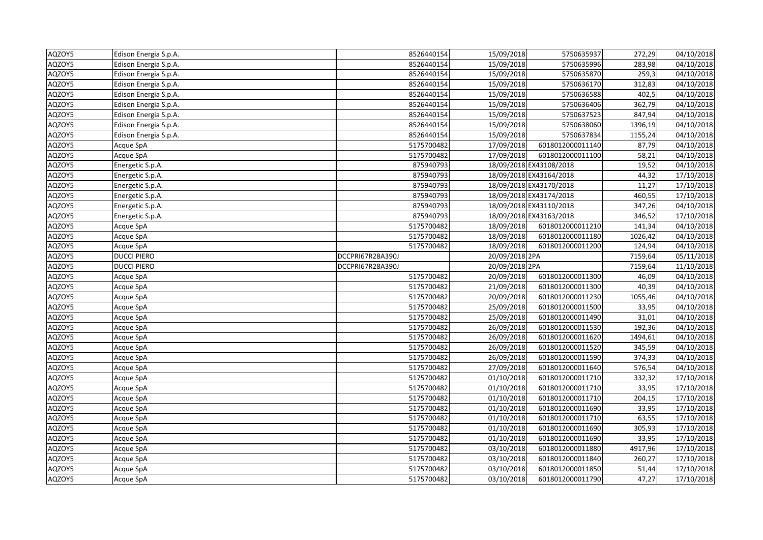| AQZOY5 | Edison Energia S.p.A. | 8526440154       | 15/09/2018     | 5750635937              | 272,29  | 04/10/2018 |
|--------|-----------------------|------------------|----------------|-------------------------|---------|------------|
| AQZOY5 | Edison Energia S.p.A. | 8526440154       | 15/09/2018     | 5750635996              | 283,98  | 04/10/2018 |
| AQZOY5 | Edison Energia S.p.A. | 8526440154       | 15/09/2018     | 5750635870              | 259,3   | 04/10/2018 |
| AQZOY5 | Edison Energia S.p.A. | 8526440154       | 15/09/2018     | 5750636170              | 312,83  | 04/10/2018 |
| AQZOY5 | Edison Energia S.p.A. | 8526440154       | 15/09/2018     | 5750636588              | 402,5   | 04/10/2018 |
| AQZOY5 | Edison Energia S.p.A. | 8526440154       | 15/09/2018     | 5750636406              | 362,79  | 04/10/2018 |
| AQZOY5 | Edison Energia S.p.A. | 8526440154       | 15/09/2018     | 5750637523              | 847,94  | 04/10/2018 |
| AQZOY5 | Edison Energia S.p.A. | 8526440154       | 15/09/2018     | 5750638060              | 1396,19 | 04/10/2018 |
| AQZOY5 | Edison Energia S.p.A. | 8526440154       | 15/09/2018     | 5750637834              | 1155,24 | 04/10/2018 |
| AQZOY5 | Acque SpA             | 5175700482       | 17/09/2018     | 6018012000011140        | 87,79   | 04/10/2018 |
| AQZOY5 | Acque SpA             | 5175700482       | 17/09/2018     | 6018012000011100        | 58,21   | 04/10/2018 |
| AQZOY5 | Energetic S.p.A.      | 875940793        |                | 18/09/2018 EX43108/2018 | 19,52   | 04/10/2018 |
| AQZOY5 | Energetic S.p.A.      | 875940793        |                | 18/09/2018 EX43164/2018 | 44,32   | 17/10/2018 |
| AQZOY5 | Energetic S.p.A.      | 875940793        |                | 18/09/2018 EX43170/2018 | 11,27   | 17/10/2018 |
| AQZOY5 | Energetic S.p.A.      | 875940793        |                | 18/09/2018 EX43174/2018 | 460,55  | 17/10/2018 |
| AQZOY5 | Energetic S.p.A.      | 875940793        |                | 18/09/2018 EX43110/2018 | 347,26  | 04/10/2018 |
| AQZOY5 | Energetic S.p.A.      | 875940793        |                | 18/09/2018 EX43163/2018 | 346,52  | 17/10/2018 |
| AQZOY5 | Acque SpA             | 5175700482       | 18/09/2018     | 6018012000011210        | 141,34  | 04/10/2018 |
| AQZOY5 | Acque SpA             | 5175700482       | 18/09/2018     | 6018012000011180        | 1026,42 | 04/10/2018 |
| AQZOY5 | Acque SpA             | 5175700482       | 18/09/2018     | 6018012000011200        | 124,94  | 04/10/2018 |
| AQZOY5 | <b>DUCCI PIERO</b>    | DCCPRI67R28A390J | 20/09/2018 2PA |                         | 7159,64 | 05/11/2018 |
| AQZOY5 | <b>DUCCI PIERO</b>    | DCCPRI67R28A390J | 20/09/2018 2PA |                         | 7159,64 | 11/10/2018 |
| AQZOY5 | Acque SpA             | 5175700482       | 20/09/2018     | 6018012000011300        | 46,09   | 04/10/2018 |
| AQZOY5 | Acque SpA             | 5175700482       | 21/09/2018     | 6018012000011300        | 40,39   | 04/10/2018 |
| AQZOY5 | Acque SpA             | 5175700482       | 20/09/2018     | 6018012000011230        | 1055,46 | 04/10/2018 |
| AQZOY5 | Acque SpA             | 5175700482       | 25/09/2018     | 6018012000011500        | 33,95   | 04/10/2018 |
| AQZOY5 | Acque SpA             | 5175700482       | 25/09/2018     | 6018012000011490        | 31,01   | 04/10/2018 |
| AQZOY5 | Acque SpA             | 5175700482       | 26/09/2018     | 6018012000011530        | 192,36  | 04/10/2018 |
| AQZOY5 | Acque SpA             | 5175700482       | 26/09/2018     | 6018012000011620        | 1494,61 | 04/10/2018 |
| AQZOY5 | Acque SpA             | 5175700482       | 26/09/2018     | 6018012000011520        | 345,59  | 04/10/2018 |
| AQZOY5 | Acque SpA             | 5175700482       | 26/09/2018     | 6018012000011590        | 374,33  | 04/10/2018 |
| AQZOY5 | Acque SpA             | 5175700482       | 27/09/2018     | 6018012000011640        | 576,54  | 04/10/2018 |
| AQZOY5 | Acque SpA             | 5175700482       | 01/10/2018     | 6018012000011710        | 332,32  | 17/10/2018 |
| AQZOY5 | Acque SpA             | 5175700482       | 01/10/2018     | 6018012000011710        | 33,95   | 17/10/2018 |
| AQZOY5 | Acque SpA             | 5175700482       | 01/10/2018     | 6018012000011710        | 204,15  | 17/10/2018 |
| AQZOY5 | Acque SpA             | 5175700482       | 01/10/2018     | 6018012000011690        | 33,95   | 17/10/2018 |
| AQZOY5 | Acque SpA             | 5175700482       | 01/10/2018     | 6018012000011710        | 63,55   | 17/10/2018 |
| AQZOY5 | Acque SpA             | 5175700482       | 01/10/2018     | 6018012000011690        | 305,93  | 17/10/2018 |
| AQZOY5 | Acque SpA             | 5175700482       | 01/10/2018     | 6018012000011690        | 33,95   | 17/10/2018 |
| AQZOY5 | Acque SpA             | 5175700482       | 03/10/2018     | 6018012000011880        | 4917,96 | 17/10/2018 |
| AQZOY5 | Acque SpA             | 5175700482       | 03/10/2018     | 6018012000011840        | 260,27  | 17/10/2018 |
| AQZOY5 | Acque SpA             | 5175700482       | 03/10/2018     | 6018012000011850        | 51,44   | 17/10/2018 |
| AQZOY5 | Acque SpA             | 5175700482       | 03/10/2018     | 6018012000011790        | 47,27   | 17/10/2018 |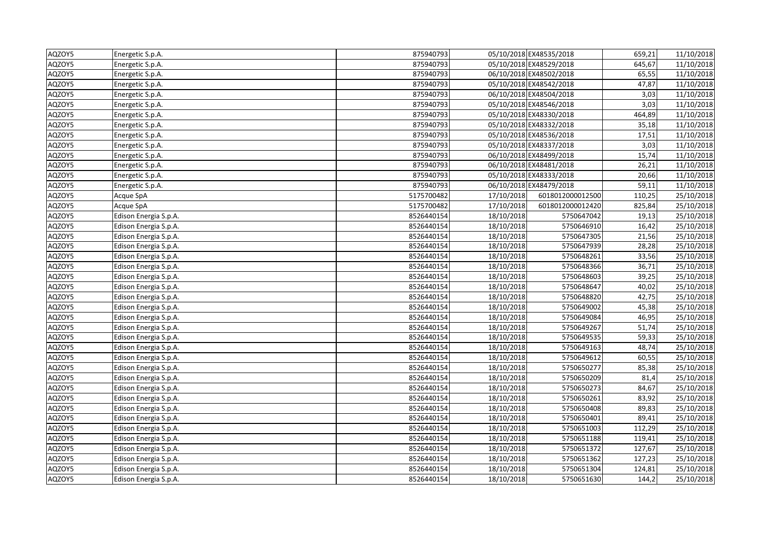| AQZOY5 | Energetic S.p.A.      | 875940793  |            | 05/10/2018 EX48535/2018 | 659,21 | 11/10/2018 |
|--------|-----------------------|------------|------------|-------------------------|--------|------------|
| AQZOY5 | Energetic S.p.A.      | 875940793  |            | 05/10/2018 EX48529/2018 | 645,67 | 11/10/2018 |
| AQZOY5 | Energetic S.p.A.      | 875940793  |            | 06/10/2018 EX48502/2018 | 65,55  | 11/10/2018 |
| AQZOY5 | Energetic S.p.A.      | 875940793  |            | 05/10/2018 EX48542/2018 | 47,87  | 11/10/2018 |
| AQZOY5 | Energetic S.p.A.      | 875940793  |            | 06/10/2018 EX48504/2018 | 3,03   | 11/10/2018 |
| AQZOY5 | Energetic S.p.A.      | 875940793  |            | 05/10/2018 EX48546/2018 | 3,03   | 11/10/2018 |
| AQZOY5 | Energetic S.p.A.      | 875940793  |            | 05/10/2018 EX48330/2018 | 464,89 | 11/10/2018 |
| AQZOY5 | Energetic S.p.A.      | 875940793  |            | 05/10/2018 EX48332/2018 | 35,18  | 11/10/2018 |
| AQZOY5 | Energetic S.p.A.      | 875940793  |            | 05/10/2018 EX48536/2018 | 17,51  | 11/10/2018 |
| AQZOY5 | Energetic S.p.A.      | 875940793  |            | 05/10/2018 EX48337/2018 | 3,03   | 11/10/2018 |
| AQZOY5 | Energetic S.p.A.      | 875940793  |            | 06/10/2018 EX48499/2018 | 15,74  | 11/10/2018 |
| AQZOY5 | Energetic S.p.A.      | 875940793  |            | 06/10/2018 EX48481/2018 | 26,21  | 11/10/2018 |
| AQZOY5 | Energetic S.p.A.      | 875940793  |            | 05/10/2018 EX48333/2018 | 20,66  | 11/10/2018 |
| AQZOY5 | Energetic S.p.A.      | 875940793  |            | 06/10/2018 EX48479/2018 | 59,11  | 11/10/2018 |
| AQZOY5 | Acque SpA             | 5175700482 | 17/10/2018 | 6018012000012500        | 110,25 | 25/10/2018 |
| AQZOY5 | Acque SpA             | 5175700482 | 17/10/2018 | 6018012000012420        | 825,84 | 25/10/2018 |
| AQZOY5 | Edison Energia S.p.A. | 8526440154 | 18/10/2018 | 5750647042              | 19,13  | 25/10/2018 |
| AQZOY5 | Edison Energia S.p.A. | 8526440154 | 18/10/2018 | 5750646910              | 16,42  | 25/10/2018 |
| AQZOY5 | Edison Energia S.p.A. | 8526440154 | 18/10/2018 | 5750647305              | 21,56  | 25/10/2018 |
| AQZOY5 | Edison Energia S.p.A. | 8526440154 | 18/10/2018 | 5750647939              | 28,28  | 25/10/2018 |
| AQZOY5 | Edison Energia S.p.A. | 8526440154 | 18/10/2018 | 5750648261              | 33,56  | 25/10/2018 |
| AQZOY5 | Edison Energia S.p.A. | 8526440154 | 18/10/2018 | 5750648366              | 36,71  | 25/10/2018 |
| AQZOY5 | Edison Energia S.p.A. | 8526440154 | 18/10/2018 | 5750648603              | 39,25  | 25/10/2018 |
| AQZOY5 | Edison Energia S.p.A. | 8526440154 | 18/10/2018 | 5750648647              | 40,02  | 25/10/2018 |
| AQZOY5 | Edison Energia S.p.A. | 8526440154 | 18/10/2018 | 5750648820              | 42,75  | 25/10/2018 |
| AQZOY5 | Edison Energia S.p.A. | 8526440154 | 18/10/2018 | 5750649002              | 45,38  | 25/10/2018 |
| AQZOY5 | Edison Energia S.p.A. | 8526440154 | 18/10/2018 | 5750649084              | 46,95  | 25/10/2018 |
| AQZOY5 | Edison Energia S.p.A. | 8526440154 | 18/10/2018 | 5750649267              | 51,74  | 25/10/2018 |
| AQZOY5 | Edison Energia S.p.A. | 8526440154 | 18/10/2018 | 5750649535              | 59,33  | 25/10/2018 |
| AQZOY5 | Edison Energia S.p.A. | 8526440154 | 18/10/2018 | 5750649163              | 48,74  | 25/10/2018 |
| AQZOY5 | Edison Energia S.p.A. | 8526440154 | 18/10/2018 | 5750649612              | 60,55  | 25/10/2018 |
| AQZOY5 | Edison Energia S.p.A. | 8526440154 | 18/10/2018 | 5750650277              | 85,38  | 25/10/2018 |
| AQZOY5 | Edison Energia S.p.A. | 8526440154 | 18/10/2018 | 5750650209              | 81,4   | 25/10/2018 |
| AQZOY5 | Edison Energia S.p.A. | 8526440154 | 18/10/2018 | 5750650273              | 84,67  | 25/10/2018 |
| AQZOY5 | Edison Energia S.p.A. | 8526440154 | 18/10/2018 | 5750650261              | 83,92  | 25/10/2018 |
| AQZOY5 | Edison Energia S.p.A. | 8526440154 | 18/10/2018 | 5750650408              | 89,83  | 25/10/2018 |
| AQZOY5 | Edison Energia S.p.A. | 8526440154 | 18/10/2018 | 5750650401              | 89,41  | 25/10/2018 |
| AQZOY5 | Edison Energia S.p.A. | 8526440154 | 18/10/2018 | 5750651003              | 112,29 | 25/10/2018 |
| AQZOY5 | Edison Energia S.p.A. | 8526440154 | 18/10/2018 | 5750651188              | 119,41 | 25/10/2018 |
| AQZOY5 | Edison Energia S.p.A. | 8526440154 | 18/10/2018 | 5750651372              | 127,67 | 25/10/2018 |
| AQZOY5 | Edison Energia S.p.A. | 8526440154 | 18/10/2018 | 5750651362              | 127,23 | 25/10/2018 |
| AQZOY5 | Edison Energia S.p.A. | 8526440154 | 18/10/2018 | 5750651304              | 124,81 | 25/10/2018 |
| AQZOY5 | Edison Energia S.p.A. | 8526440154 | 18/10/2018 | 5750651630              | 144,2  | 25/10/2018 |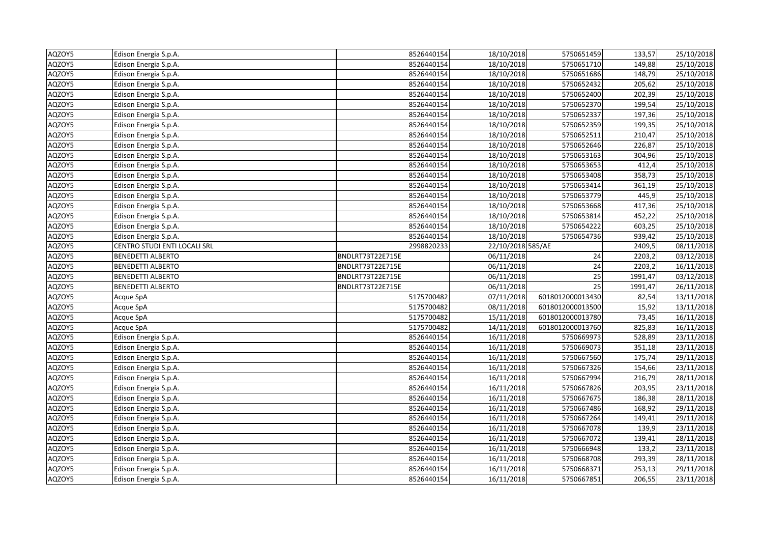| AQZOY5 | Edison Energia S.p.A.        | 8526440154       | 18/10/2018        | 5750651459       | 133,57  | 25/10/2018              |
|--------|------------------------------|------------------|-------------------|------------------|---------|-------------------------|
| AQZOY5 | Edison Energia S.p.A.        | 8526440154       | 18/10/2018        | 5750651710       | 149,88  | $\overline{25}/10/2018$ |
| AQZOY5 | Edison Energia S.p.A.        | 8526440154       | 18/10/2018        | 5750651686       | 148,79  | 25/10/2018              |
| AQZOY5 | Edison Energia S.p.A.        | 8526440154       | 18/10/2018        | 5750652432       | 205,62  | 25/10/2018              |
| AQZOY5 | Edison Energia S.p.A.        | 8526440154       | 18/10/2018        | 5750652400       | 202,39  | 25/10/2018              |
| AQZOY5 | Edison Energia S.p.A.        | 8526440154       | 18/10/2018        | 5750652370       | 199,54  | 25/10/2018              |
| AQZOY5 | Edison Energia S.p.A.        | 8526440154       | 18/10/2018        | 5750652337       | 197,36  | 25/10/2018              |
| AQZOY5 | Edison Energia S.p.A.        | 8526440154       | 18/10/2018        | 5750652359       | 199,35  | 25/10/2018              |
| AQZOY5 | Edison Energia S.p.A.        | 8526440154       | 18/10/2018        | 5750652511       | 210,47  | 25/10/2018              |
| AQZOY5 | Edison Energia S.p.A.        | 8526440154       | 18/10/2018        | 5750652646       | 226,87  | 25/10/2018              |
| AQZOY5 | Edison Energia S.p.A.        | 8526440154       | 18/10/2018        | 5750653163       | 304,96  | 25/10/2018              |
| AQZOY5 | Edison Energia S.p.A.        | 8526440154       | 18/10/2018        | 5750653653       | 412,4   | 25/10/2018              |
| AQZOY5 | Edison Energia S.p.A.        | 8526440154       | 18/10/2018        | 5750653408       | 358,73  | 25/10/2018              |
| AQZOY5 | Edison Energia S.p.A.        | 8526440154       | 18/10/2018        | 5750653414       | 361,19  | 25/10/2018              |
| AQZOY5 | Edison Energia S.p.A.        | 8526440154       | 18/10/2018        | 5750653779       | 445,9   | 25/10/2018              |
| AQZOY5 | Edison Energia S.p.A.        | 8526440154       | 18/10/2018        | 5750653668       | 417,36  | 25/10/2018              |
| AQZOY5 | Edison Energia S.p.A.        | 8526440154       | 18/10/2018        | 5750653814       | 452,22  | 25/10/2018              |
| AQZOY5 | Edison Energia S.p.A.        | 8526440154       | 18/10/2018        | 5750654222       | 603,25  | 25/10/2018              |
| AQZOY5 | Edison Energia S.p.A.        | 8526440154       | 18/10/2018        | 5750654736       | 939,42  | 25/10/2018              |
| AQZOY5 | CENTRO STUDI ENTI LOCALI SRL | 2998820233       | 22/10/2018 585/AE |                  | 2409,5  | 08/11/2018              |
| AQZOY5 | <b>BENEDETTI ALBERTO</b>     | BNDLRT73T22E715E | 06/11/2018        | 24               | 2203,2  | 03/12/2018              |
| AQZOY5 | <b>BENEDETTI ALBERTO</b>     | BNDLRT73T22E715E | 06/11/2018        | 24               | 2203,2  | 16/11/2018              |
| AQZOY5 | <b>BENEDETTI ALBERTO</b>     | BNDLRT73T22E715E | 06/11/2018        | $\overline{25}$  | 1991,47 | 03/12/2018              |
| AQZOY5 | <b>BENEDETTI ALBERTO</b>     | BNDLRT73T22E715E | 06/11/2018        | 25               | 1991,47 | 26/11/2018              |
| AQZOY5 | Acque SpA                    | 5175700482       | 07/11/2018        | 6018012000013430 | 82,54   | 13/11/2018              |
| AQZOY5 | Acque SpA                    | 5175700482       | 08/11/2018        | 6018012000013500 | 15,92   | 13/11/2018              |
| AQZOY5 | Acque SpA                    | 5175700482       | 15/11/2018        | 6018012000013780 | 73,45   | 16/11/2018              |
| AQZOY5 | Acque SpA                    | 5175700482       | 14/11/2018        | 6018012000013760 | 825,83  | 16/11/2018              |
| AQZOY5 | Edison Energia S.p.A.        | 8526440154       | 16/11/2018        | 5750669973       | 528,89  | 23/11/2018              |
| AQZOY5 | Edison Energia S.p.A.        | 8526440154       | 16/11/2018        | 5750669073       | 351,18  | 23/11/2018              |
| AQZOY5 | Edison Energia S.p.A.        | 8526440154       | 16/11/2018        | 5750667560       | 175,74  | 29/11/2018              |
| AQZOY5 | Edison Energia S.p.A.        | 8526440154       | 16/11/2018        | 5750667326       | 154,66  | 23/11/2018              |
| AQZOY5 | Edison Energia S.p.A.        | 8526440154       | 16/11/2018        | 5750667994       | 216,79  | 28/11/2018              |
| AQZOY5 | Edison Energia S.p.A.        | 8526440154       | 16/11/2018        | 5750667826       | 203,95  | 23/11/2018              |
| AQZOY5 | Edison Energia S.p.A.        | 8526440154       | 16/11/2018        | 5750667675       | 186,38  | 28/11/2018              |
| AQZOY5 | Edison Energia S.p.A.        | 8526440154       | 16/11/2018        | 5750667486       | 168,92  | 29/11/2018              |
| AQZOY5 | Edison Energia S.p.A.        | 8526440154       | 16/11/2018        | 5750667264       | 149,41  | 29/11/2018              |
| AQZOY5 | Edison Energia S.p.A.        | 8526440154       | 16/11/2018        | 5750667078       | 139,9   | 23/11/2018              |
| AQZOY5 | Edison Energia S.p.A.        | 8526440154       | 16/11/2018        | 5750667072       | 139,41  | 28/11/2018              |
| AQZOY5 | Edison Energia S.p.A.        | 8526440154       | 16/11/2018        | 5750666948       | 133,2   | 23/11/2018              |
| AQZOY5 | Edison Energia S.p.A.        | 8526440154       | 16/11/2018        | 5750668708       | 293,39  | 28/11/2018              |
| AQZOY5 | Edison Energia S.p.A.        | 8526440154       | 16/11/2018        | 5750668371       | 253,13  | 29/11/2018              |
| AQZOY5 | Edison Energia S.p.A.        | 8526440154       | 16/11/2018        | 5750667851       | 206,55  | 23/11/2018              |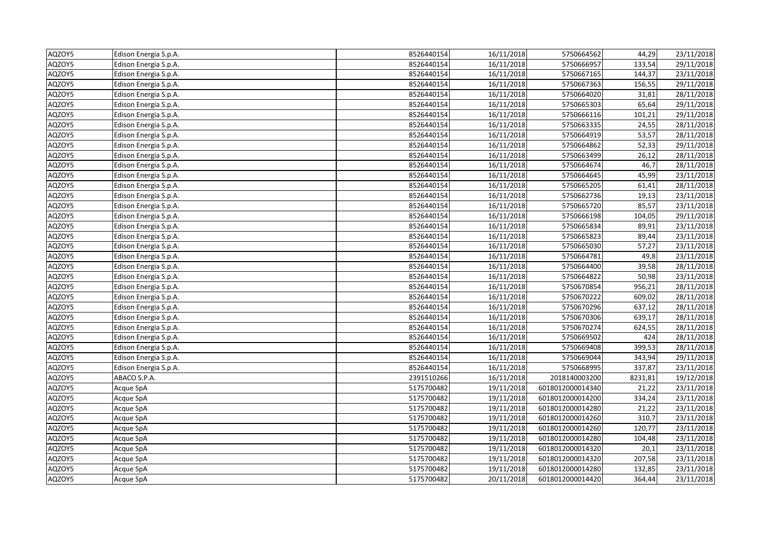| AQZOY5 | Edison Energia S.p.A. | 8526440154 | 16/11/2018 | 5750664562       | 44,29   | 23/11/2018              |
|--------|-----------------------|------------|------------|------------------|---------|-------------------------|
| AQZOY5 | Edison Energia S.p.A. | 8526440154 | 16/11/2018 | 5750666957       | 133,54  | $\overline{29}/11/2018$ |
| AQZOY5 | Edison Energia S.p.A. | 8526440154 | 16/11/2018 | 5750667165       | 144,37  | 23/11/2018              |
| AQZOY5 | Edison Energia S.p.A. | 8526440154 | 16/11/2018 | 5750667363       | 156,55  | 29/11/2018              |
| AQZOY5 | Edison Energia S.p.A. | 8526440154 | 16/11/2018 | 5750664020       | 31,81   | 28/11/2018              |
| AQZOY5 | Edison Energia S.p.A. | 8526440154 | 16/11/2018 | 5750665303       | 65,64   | 29/11/2018              |
| AQZOY5 | Edison Energia S.p.A. | 8526440154 | 16/11/2018 | 5750666116       | 101,21  | 29/11/2018              |
| AQZOY5 | Edison Energia S.p.A. | 8526440154 | 16/11/2018 | 5750663335       | 24,55   | 28/11/2018              |
| AQZOY5 | Edison Energia S.p.A. | 8526440154 | 16/11/2018 | 5750664919       | 53,57   | 28/11/2018              |
| AQZOY5 | Edison Energia S.p.A. | 8526440154 | 16/11/2018 | 5750664862       | 52,33   | 29/11/2018              |
| AQZOY5 | Edison Energia S.p.A. | 8526440154 | 16/11/2018 | 5750663499       | 26,12   | 28/11/2018              |
| AQZOY5 | Edison Energia S.p.A. | 8526440154 | 16/11/2018 | 5750664674       | 46,7    | 28/11/2018              |
| AQZOY5 | Edison Energia S.p.A. | 8526440154 | 16/11/2018 | 5750664645       | 45,99   | 23/11/2018              |
| AQZOY5 | Edison Energia S.p.A. | 8526440154 | 16/11/2018 | 5750665205       | 61,41   | 28/11/2018              |
| AQZOY5 | Edison Energia S.p.A. | 8526440154 | 16/11/2018 | 5750662736       | 19,13   | 23/11/2018              |
| AQZOY5 | Edison Energia S.p.A. | 8526440154 | 16/11/2018 | 5750665720       | 85,57   | 23/11/2018              |
| AQZOY5 | Edison Energia S.p.A. | 8526440154 | 16/11/2018 | 5750666198       | 104,05  | 29/11/2018              |
| AQZOY5 | Edison Energia S.p.A. | 8526440154 | 16/11/2018 | 5750665834       | 89,91   | 23/11/2018              |
| AQZOY5 | Edison Energia S.p.A. | 8526440154 | 16/11/2018 | 5750665823       | 89,44   | 23/11/2018              |
| AQZOY5 | Edison Energia S.p.A. | 8526440154 | 16/11/2018 | 5750665030       | 57,27   | 23/11/2018              |
| AQZOY5 | Edison Energia S.p.A. | 8526440154 | 16/11/2018 | 5750664781       | 49,8    | 23/11/2018              |
| AQZOY5 | Edison Energia S.p.A. | 8526440154 | 16/11/2018 | 5750664400       | 39,58   | 28/11/2018              |
| AQZOY5 | Edison Energia S.p.A. | 8526440154 | 16/11/2018 | 5750664822       | 50,98   | 23/11/2018              |
| AQZOY5 | Edison Energia S.p.A. | 8526440154 | 16/11/2018 | 5750670854       | 956,21  | 28/11/2018              |
| AQZOY5 | Edison Energia S.p.A. | 8526440154 | 16/11/2018 | 5750670222       | 609,02  | 28/11/2018              |
| AQZOY5 | Edison Energia S.p.A. | 8526440154 | 16/11/2018 | 5750670296       | 637,12  | 28/11/2018              |
| AQZOY5 | Edison Energia S.p.A. | 8526440154 | 16/11/2018 | 5750670306       | 639,17  | 28/11/2018              |
| AQZOY5 | Edison Energia S.p.A. | 8526440154 | 16/11/2018 | 5750670274       | 624,55  | 28/11/2018              |
| AQZOY5 | Edison Energia S.p.A. | 8526440154 | 16/11/2018 | 5750669502       | 424     | 28/11/2018              |
| AQZOY5 | Edison Energia S.p.A. | 8526440154 | 16/11/2018 | 5750669408       | 399,53  | 28/11/2018              |
| AQZOY5 | Edison Energia S.p.A. | 8526440154 | 16/11/2018 | 5750669044       | 343,94  | 29/11/2018              |
| AQZOY5 | Edison Energia S.p.A. | 8526440154 | 16/11/2018 | 5750668995       | 337,87  | 23/11/2018              |
| AQZOY5 | ABACO S.P.A.          | 2391510266 | 16/11/2018 | 2018140003200    | 8231,81 | 19/12/2018              |
| AQZOY5 | Acque SpA             | 5175700482 | 19/11/2018 | 6018012000014340 | 21,22   | 23/11/2018              |
| AQZOY5 | Acque SpA             | 5175700482 | 19/11/2018 | 6018012000014200 | 334,24  | 23/11/2018              |
| AQZOY5 | Acque SpA             | 5175700482 | 19/11/2018 | 6018012000014280 | 21,22   | 23/11/2018              |
| AQZOY5 | Acque SpA             | 5175700482 | 19/11/2018 | 6018012000014260 | 310,7   | 23/11/2018              |
| AQZOY5 | Acque SpA             | 5175700482 | 19/11/2018 | 6018012000014260 | 120,77  | 23/11/2018              |
| AQZOY5 | Acque SpA             | 5175700482 | 19/11/2018 | 6018012000014280 | 104,48  | 23/11/2018              |
| AQZOY5 | Acque SpA             | 5175700482 | 19/11/2018 | 6018012000014320 | 20,1    | 23/11/2018              |
| AQZOY5 | Acque SpA             | 5175700482 | 19/11/2018 | 6018012000014320 | 207,58  | 23/11/2018              |
| AQZOY5 | Acque SpA             | 5175700482 | 19/11/2018 | 6018012000014280 | 132,85  | 23/11/2018              |
| AQZOY5 | Acque SpA             | 5175700482 | 20/11/2018 | 6018012000014420 | 364,44  | 23/11/2018              |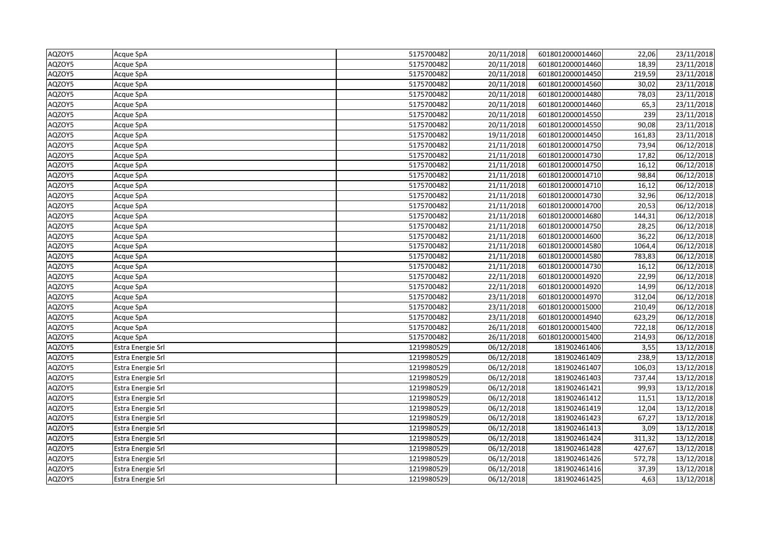| AQZOY5 | Acque SpA         | 5175700482 | 20/11/2018 | 6018012000014460 | 22,06  | 23/11/2018 |
|--------|-------------------|------------|------------|------------------|--------|------------|
| AQZOY5 | Acque SpA         | 5175700482 | 20/11/2018 | 6018012000014460 | 18,39  | 23/11/2018 |
| AQZOY5 | Acque SpA         | 5175700482 | 20/11/2018 | 6018012000014450 | 219,59 | 23/11/2018 |
| AQZOY5 | Acque SpA         | 5175700482 | 20/11/2018 | 6018012000014560 | 30,02  | 23/11/2018 |
| AQZOY5 | Acque SpA         | 5175700482 | 20/11/2018 | 6018012000014480 | 78,03  | 23/11/2018 |
| AQZOY5 | Acque SpA         | 5175700482 | 20/11/2018 | 6018012000014460 | 65,3   | 23/11/2018 |
| AQZOY5 | Acque SpA         | 5175700482 | 20/11/2018 | 6018012000014550 | 239    | 23/11/2018 |
| AQZOY5 | Acque SpA         | 5175700482 | 20/11/2018 | 6018012000014550 | 90,08  | 23/11/2018 |
| AQZOY5 | Acque SpA         | 5175700482 | 19/11/2018 | 6018012000014450 | 161,83 | 23/11/2018 |
| AQZOY5 | Acque SpA         | 5175700482 | 21/11/2018 | 6018012000014750 | 73,94  | 06/12/2018 |
| AQZOY5 | Acque SpA         | 5175700482 | 21/11/2018 | 6018012000014730 | 17,82  | 06/12/2018 |
| AQZOY5 | Acque SpA         | 5175700482 | 21/11/2018 | 6018012000014750 | 16,12  | 06/12/2018 |
| AQZOY5 | Acque SpA         | 5175700482 | 21/11/2018 | 6018012000014710 | 98,84  | 06/12/2018 |
| AQZOY5 | Acque SpA         | 5175700482 | 21/11/2018 | 6018012000014710 | 16,12  | 06/12/2018 |
| AQZOY5 | Acque SpA         | 5175700482 | 21/11/2018 | 6018012000014730 | 32,96  | 06/12/2018 |
| AQZOY5 | Acque SpA         | 5175700482 | 21/11/2018 | 6018012000014700 | 20,53  | 06/12/2018 |
| AQZOY5 | Acque SpA         | 5175700482 | 21/11/2018 | 6018012000014680 | 144,31 | 06/12/2018 |
| AQZOY5 | Acque SpA         | 5175700482 | 21/11/2018 | 6018012000014750 | 28,25  | 06/12/2018 |
| AQZOY5 | Acque SpA         | 5175700482 | 21/11/2018 | 6018012000014600 | 36,22  | 06/12/2018 |
| AQZOY5 | Acque SpA         | 5175700482 | 21/11/2018 | 6018012000014580 | 1064,4 | 06/12/2018 |
| AQZOY5 | Acque SpA         | 5175700482 | 21/11/2018 | 6018012000014580 | 783,83 | 06/12/2018 |
| AQZOY5 | Acque SpA         | 5175700482 | 21/11/2018 | 6018012000014730 | 16,12  | 06/12/2018 |
| AQZOY5 | Acque SpA         | 5175700482 | 22/11/2018 | 6018012000014920 | 22,99  | 06/12/2018 |
| AQZOY5 | Acque SpA         | 5175700482 | 22/11/2018 | 6018012000014920 | 14,99  | 06/12/2018 |
| AQZOY5 | Acque SpA         | 5175700482 | 23/11/2018 | 6018012000014970 | 312,04 | 06/12/2018 |
| AQZOY5 | Acque SpA         | 5175700482 | 23/11/2018 | 6018012000015000 | 210,49 | 06/12/2018 |
| AQZOY5 | Acque SpA         | 5175700482 | 23/11/2018 | 6018012000014940 | 623,29 | 06/12/2018 |
| AQZOY5 | Acque SpA         | 5175700482 | 26/11/2018 | 6018012000015400 | 722,18 | 06/12/2018 |
| AQZOY5 | Acque SpA         | 5175700482 | 26/11/2018 | 6018012000015400 | 214,93 | 06/12/2018 |
| AQZOY5 | Estra Energie Srl | 1219980529 | 06/12/2018 | 181902461406     | 3,55   | 13/12/2018 |
| AQZOY5 | Estra Energie Srl | 1219980529 | 06/12/2018 | 181902461409     | 238,9  | 13/12/2018 |
| AQZOY5 | Estra Energie Srl | 1219980529 | 06/12/2018 | 181902461407     | 106,03 | 13/12/2018 |
| AQZOY5 | Estra Energie Srl | 1219980529 | 06/12/2018 | 181902461403     | 737,44 | 13/12/2018 |
| AQZOY5 | Estra Energie Srl | 1219980529 | 06/12/2018 | 181902461421     | 99,93  | 13/12/2018 |
| AQZOY5 | Estra Energie Srl | 1219980529 | 06/12/2018 | 181902461412     | 11,51  | 13/12/2018 |
| AQZOY5 | Estra Energie Srl | 1219980529 | 06/12/2018 | 181902461419     | 12,04  | 13/12/2018 |
| AQZOY5 | Estra Energie Srl | 1219980529 | 06/12/2018 | 181902461423     | 67,27  | 13/12/2018 |
| AQZOY5 | Estra Energie Srl | 1219980529 | 06/12/2018 | 181902461413     | 3,09   | 13/12/2018 |
| AQZOY5 | Estra Energie Srl | 1219980529 | 06/12/2018 | 181902461424     | 311,32 | 13/12/2018 |
| AQZOY5 | Estra Energie Srl | 1219980529 | 06/12/2018 | 181902461428     | 427,67 | 13/12/2018 |
| AQZOY5 | Estra Energie Srl | 1219980529 | 06/12/2018 | 181902461426     | 572,78 | 13/12/2018 |
| AQZOY5 | Estra Energie Srl | 1219980529 | 06/12/2018 | 181902461416     | 37,39  | 13/12/2018 |
| AQZOY5 | Estra Energie Srl | 1219980529 | 06/12/2018 | 181902461425     | 4,63   | 13/12/2018 |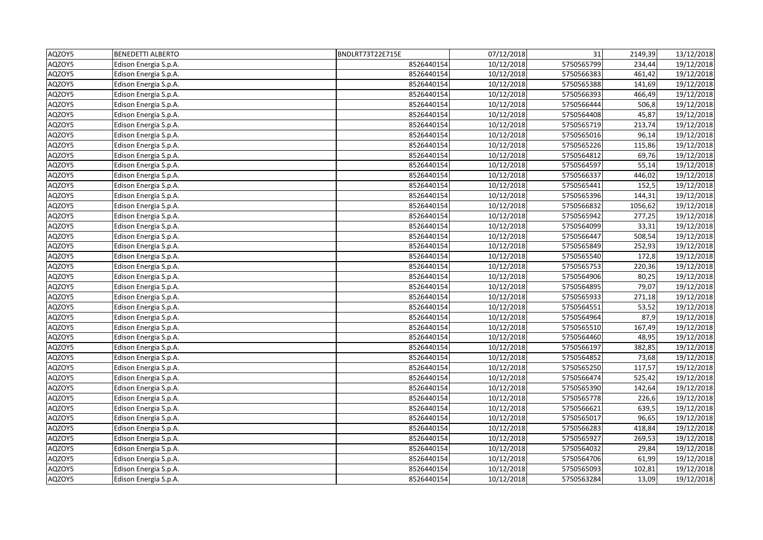| AQZOY5 | <b>BENEDETTI ALBERTO</b> | BNDLRT73T22E715E | 07/12/2018 | 31         | 2149,39 | 13/12/2018              |
|--------|--------------------------|------------------|------------|------------|---------|-------------------------|
| AQZOY5 | Edison Energia S.p.A.    | 8526440154       | 10/12/2018 | 5750565799 | 234,44  | $\frac{19}{12}/2018$    |
| AQZOY5 | Edison Energia S.p.A.    | 8526440154       | 10/12/2018 | 5750566383 | 461,42  | 19/12/2018              |
| AQZOY5 | Edison Energia S.p.A.    | 8526440154       | 10/12/2018 | 5750565388 | 141,69  | 19/12/2018              |
| AQZOY5 | Edison Energia S.p.A.    | 8526440154       | 10/12/2018 | 5750566393 | 466,49  | 19/12/2018              |
| AQZOY5 | Edison Energia S.p.A.    | 8526440154       | 10/12/2018 | 5750566444 | 506,8   | 19/12/2018              |
| AQZOY5 | Edison Energia S.p.A.    | 8526440154       | 10/12/2018 | 5750564408 | 45,87   | 19/12/2018              |
| AQZOY5 | Edison Energia S.p.A.    | 8526440154       | 10/12/2018 | 5750565719 | 213,74  | 19/12/2018              |
| AQZOY5 | Edison Energia S.p.A.    | 8526440154       | 10/12/2018 | 5750565016 | 96,14   | 19/12/2018              |
| AQZOY5 | Edison Energia S.p.A.    | 8526440154       | 10/12/2018 | 5750565226 | 115,86  | 19/12/2018              |
| AQZOY5 | Edison Energia S.p.A.    | 8526440154       | 10/12/2018 | 5750564812 | 69,76   | 19/12/2018              |
| AQZOY5 | Edison Energia S.p.A.    | 8526440154       | 10/12/2018 | 5750564597 | 55,14   | 19/12/2018              |
| AQZOY5 | Edison Energia S.p.A.    | 8526440154       | 10/12/2018 | 5750566337 | 446,02  | 19/12/2018              |
| AQZOY5 | Edison Energia S.p.A.    | 8526440154       | 10/12/2018 | 5750565441 | 152,5   | 19/12/2018              |
| AQZOY5 | Edison Energia S.p.A.    | 8526440154       | 10/12/2018 | 5750565396 | 144,31  | 19/12/2018              |
| AQZOY5 | Edison Energia S.p.A.    | 8526440154       | 10/12/2018 | 5750566832 | 1056,62 | 19/12/2018              |
| AQZOY5 | Edison Energia S.p.A.    | 8526440154       | 10/12/2018 | 5750565942 | 277,25  | 19/12/2018              |
| AQZOY5 | Edison Energia S.p.A.    | 8526440154       | 10/12/2018 | 5750564099 | 33,31   | 19/12/2018              |
| AQZOY5 | Edison Energia S.p.A.    | 8526440154       | 10/12/2018 | 5750566447 | 508,54  | 19/12/2018              |
| AQZOY5 | Edison Energia S.p.A.    | 8526440154       | 10/12/2018 | 5750565849 | 252,93  | 19/12/2018              |
| AQZOY5 | Edison Energia S.p.A.    | 8526440154       | 10/12/2018 | 5750565540 | 172,8   | 19/12/2018              |
| AQZOY5 | Edison Energia S.p.A.    | 8526440154       | 10/12/2018 | 5750565753 | 220,36  | 19/12/2018              |
| AQZOY5 | Edison Energia S.p.A.    | 8526440154       | 10/12/2018 | 5750564906 | 80,25   | 19/12/2018              |
| AQZOY5 | Edison Energia S.p.A.    | 8526440154       | 10/12/2018 | 5750564895 | 79,07   | 19/12/2018              |
| AQZOY5 | Edison Energia S.p.A.    | 8526440154       | 10/12/2018 | 5750565933 | 271,18  | 19/12/2018              |
| AQZOY5 | Edison Energia S.p.A.    | 8526440154       | 10/12/2018 | 5750564551 | 53,52   | 19/12/2018              |
| AQZOY5 | Edison Energia S.p.A.    | 8526440154       | 10/12/2018 | 5750564964 | 87,9    | 19/12/2018              |
| AQZOY5 | Edison Energia S.p.A.    | 8526440154       | 10/12/2018 | 5750565510 | 167,49  | $\overline{19}/12/2018$ |
| AQZOY5 | Edison Energia S.p.A.    | 8526440154       | 10/12/2018 | 5750564460 | 48,95   | 19/12/2018              |
| AQZOY5 | Edison Energia S.p.A.    | 8526440154       | 10/12/2018 | 5750566197 | 382,85  | 19/12/2018              |
| AQZOY5 | Edison Energia S.p.A.    | 8526440154       | 10/12/2018 | 5750564852 | 73,68   | 19/12/2018              |
| AQZOY5 | Edison Energia S.p.A.    | 8526440154       | 10/12/2018 | 5750565250 | 117,57  | 19/12/2018              |
| AQZOY5 | Edison Energia S.p.A.    | 8526440154       | 10/12/2018 | 5750566474 | 525,42  | 19/12/2018              |
| AQZOY5 | Edison Energia S.p.A.    | 8526440154       | 10/12/2018 | 5750565390 | 142,64  | 19/12/2018              |
| AQZOY5 | Edison Energia S.p.A.    | 8526440154       | 10/12/2018 | 5750565778 | 226,6   | 19/12/2018              |
| AQZOY5 | Edison Energia S.p.A.    | 8526440154       | 10/12/2018 | 5750566621 | 639,5   | 19/12/2018              |
| AQZOY5 | Edison Energia S.p.A.    | 8526440154       | 10/12/2018 | 5750565017 | 96,65   | 19/12/2018              |
| AQZOY5 | Edison Energia S.p.A.    | 8526440154       | 10/12/2018 | 5750566283 | 418,84  | 19/12/2018              |
| AQZOY5 | Edison Energia S.p.A.    | 8526440154       | 10/12/2018 | 5750565927 | 269,53  | 19/12/2018              |
| AQZOY5 | Edison Energia S.p.A.    | 8526440154       | 10/12/2018 | 5750564032 | 29,84   | 19/12/2018              |
| AQZOY5 | Edison Energia S.p.A.    | 8526440154       | 10/12/2018 | 5750564706 | 61,99   | 19/12/2018              |
| AQZOY5 | Edison Energia S.p.A.    | 8526440154       | 10/12/2018 | 5750565093 | 102,81  | 19/12/2018              |
| AQZOY5 | Edison Energia S.p.A.    | 8526440154       | 10/12/2018 | 5750563284 | 13,09   | 19/12/2018              |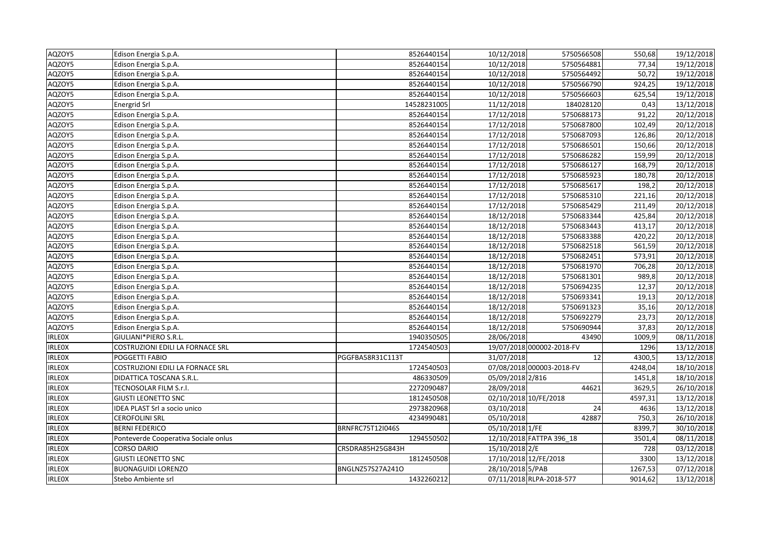| AQZOY5        | Edison Energia S.p.A.                | 8526440154       | 10/12/2018            | 5750566508                | 550,68  | 19/12/2018            |
|---------------|--------------------------------------|------------------|-----------------------|---------------------------|---------|-----------------------|
| AQZOY5        | Edison Energia S.p.A.                | 8526440154       | 10/12/2018            | 5750564881                | 77,34   | 19/12/2018            |
| AQZOY5        | Edison Energia S.p.A.                | 8526440154       | 10/12/2018            | 5750564492                | 50,72   | 19/12/2018            |
| AQZOY5        | Edison Energia S.p.A.                | 8526440154       | 10/12/2018            | 5750566790                | 924,25  | 19/12/2018            |
| AQZOY5        | Edison Energia S.p.A.                | 8526440154       | 10/12/2018            | 5750566603                | 625,54  | 19/12/2018            |
| AQZOY5        | <b>Energrid Srl</b>                  | 14528231005      | 11/12/2018            | 184028120                 | 0,43    | 13/12/2018            |
| AQZOY5        | Edison Energia S.p.A.                | 8526440154       | 17/12/2018            | 5750688173                | 91,22   | 20/12/2018            |
| AQZOY5        | Edison Energia S.p.A.                | 8526440154       | 17/12/2018            | 5750687800                | 102,49  | 20/12/2018            |
| AQZOY5        | Edison Energia S.p.A.                | 8526440154       | 17/12/2018            | 5750687093                | 126,86  | 20/12/2018            |
| AQZOY5        | Edison Energia S.p.A.                | 8526440154       | 17/12/2018            | 5750686501                | 150,66  | 20/12/2018            |
| AQZOY5        | Edison Energia S.p.A.                | 8526440154       | 17/12/2018            | 5750686282                | 159,99  | 20/12/2018            |
| AQZOY5        | Edison Energia S.p.A.                | 8526440154       | 17/12/2018            | 5750686127                | 168,79  | 20/12/2018            |
| AQZOY5        | Edison Energia S.p.A.                | 8526440154       | 17/12/2018            | 5750685923                | 180,78  | 20/12/2018            |
| AQZOY5        | Edison Energia S.p.A.                | 8526440154       | 17/12/2018            | 5750685617                | 198,2   | 20/12/2018            |
| AQZOY5        | Edison Energia S.p.A.                | 8526440154       | 17/12/2018            | 5750685310                | 221,16  | 20/12/2018            |
| AQZOY5        | Edison Energia S.p.A.                | 8526440154       | 17/12/2018            | 5750685429                | 211,49  | 20/12/2018            |
| AQZOY5        | Edison Energia S.p.A.                | 8526440154       | 18/12/2018            | 5750683344                | 425,84  | 20/12/2018            |
| AQZOY5        | Edison Energia S.p.A.                | 8526440154       | 18/12/2018            | 5750683443                | 413,17  | 20/12/2018            |
| AQZOY5        | Edison Energia S.p.A.                | 8526440154       | 18/12/2018            | 5750683388                | 420,22  | 20/12/2018            |
| AQZOY5        | Edison Energia S.p.A.                | 8526440154       | 18/12/2018            | 5750682518                | 561,59  | 20/12/2018            |
| AQZOY5        | Edison Energia S.p.A.                | 8526440154       | 18/12/2018            | 5750682451                | 573,91  | 20/12/2018            |
| AQZOY5        | Edison Energia S.p.A.                | 8526440154       | 18/12/2018            | 5750681970                | 706,28  | 20/12/2018            |
| AQZOY5        | Edison Energia S.p.A.                | 8526440154       | 18/12/2018            | 5750681301                | 989,8   | 20/12/2018            |
| AQZOY5        | Edison Energia S.p.A.                | 8526440154       | 18/12/2018            | 5750694235                | 12,37   | 20/12/2018            |
| AQZOY5        | Edison Energia S.p.A.                | 8526440154       | 18/12/2018            | 5750693341                | 19,13   | $\frac{20}{12}{2018}$ |
| AQZOY5        | Edison Energia S.p.A.                | 8526440154       | 18/12/2018            | 5750691323                | 35,16   | 20/12/2018            |
| AQZOY5        | Edison Energia S.p.A.                | 8526440154       | 18/12/2018            | 5750692279                | 23,73   | 20/12/2018            |
| AQZOY5        | Edison Energia S.p.A.                | 8526440154       | 18/12/2018            | 5750690944                | 37,83   | 20/12/2018            |
| <b>IRLEOX</b> | GIULIANI*PIERO S.R.L.                | 1940350505       | 28/06/2018            | 43490                     | 1009,9  | 08/11/2018            |
| <b>IRLEOX</b> | COSTRUZIONI EDILI LA FORNACE SRL     | 1724540503       |                       | 19/07/2018 000002-2018-FV | 1296    | 13/12/2018            |
| <b>IRLEOX</b> | POGGETTI FABIO                       | PGGFBA58R31C113T | 31/07/2018            | 12                        | 4300,5  | 13/12/2018            |
| <b>IRLEOX</b> | COSTRUZIONI EDILI LA FORNACE SRL     | 1724540503       |                       | 07/08/2018 000003-2018-FV | 4248,04 | 18/10/2018            |
| <b>IRLEOX</b> | DIDATTICA TOSCANA S.R.L.             | 486330509        | 05/09/2018 2/816      |                           | 1451,8  | 18/10/2018            |
| <b>IRLEOX</b> | TECNOSOLAR FILM S.r.l.               | 2272090487       | 28/09/2018            | 44621                     | 3629,5  | 26/10/2018            |
| <b>IRLEOX</b> | <b>GIUSTI LEONETTO SNC</b>           | 1812450508       | 02/10/2018 10/FE/2018 |                           | 4597,31 | 13/12/2018            |
| <b>IRLEOX</b> | IDEA PLAST Srl a socio unico         | 2973820968       | 03/10/2018            | 24                        | 4636    | 13/12/2018            |
| <b>IRLEOX</b> | CEROFOLINI SRL                       | 4234990481       | 05/10/2018            | 42887                     | 750,3   | 26/10/2018            |
| <b>IRLEOX</b> | BERNI FEDERICO                       | BRNFRC75T12I046S | 05/10/2018 1/FE       |                           | 8399,7  | 30/10/2018            |
| <b>IRLEOX</b> | Ponteverde Cooperativa Sociale onlus | 1294550502       |                       | 12/10/2018 FATTPA 396_18  | 3501,4  | 08/11/2018            |
| <b>IRLEOX</b> | CORSO DARIO                          | CRSDRA85H25G843H | 15/10/2018 2/E        |                           | 728     | 03/12/2018            |
| <b>IRLEOX</b> | <b>GIUSTI LEONETTO SNC</b>           | 1812450508       | 17/10/2018 12/FE/2018 |                           | 3300    | 13/12/2018            |
| <b>IRLEOX</b> | BUONAGUIDI LORENZO                   | BNGLNZ57S27A241O | 28/10/2018 5/PAB      |                           | 1267,53 | 07/12/2018            |
| <b>IRLEOX</b> | Stebo Ambiente srl                   | 1432260212       |                       | 07/11/2018 RLPA-2018-577  | 9014,62 | 13/12/2018            |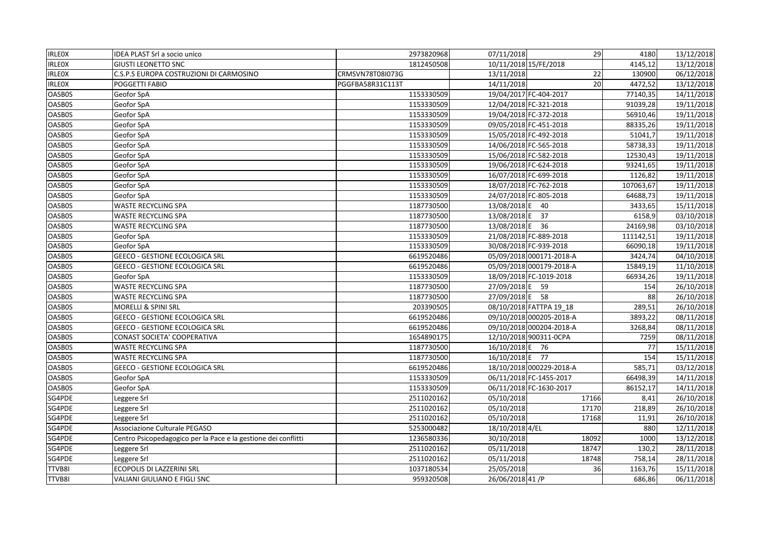| <b>IRLEOX</b> | IDEA PLAST Srl a socio unico                                   | 2973820968       | 07/11/2018       | 29                       | 4180      | 13/12/2018              |
|---------------|----------------------------------------------------------------|------------------|------------------|--------------------------|-----------|-------------------------|
| <b>IRLEOX</b> | <b>GIUSTI LEONETTO SNC</b>                                     | 1812450508       |                  | 10/11/2018 15/FE/2018    | 4145,12   | 13/12/2018              |
| <b>IRLEOX</b> | C.S.P.S EUROPA COSTRUZIONI DI CARMOSINO                        | CRMSVN78T08I073G | 13/11/2018       | 22                       | 130900    | 06/12/2018              |
| <b>IRLEOX</b> | POGGETTI FABIO                                                 | PGGFBA58R31C113T | 14/11/2018       | 20                       | 4472,52   | 13/12/2018              |
| OASB0S        | Geofor SpA                                                     | 1153330509       |                  | 19/04/2017 FC-404-2017   | 77140,35  | 14/11/2018              |
| <b>OASB0S</b> | Geofor SpA                                                     | 1153330509       |                  | 12/04/2018 FC-321-2018   | 91039,28  | 19/11/2018              |
| OASB0S        | Geofor SpA                                                     | 1153330509       |                  | 19/04/2018 FC-372-2018   | 56910,46  | 19/11/2018              |
| OASB0S        | Geofor SpA                                                     | 1153330509       |                  | 09/05/2018 FC-451-2018   | 88335,26  | 19/11/2018              |
| <b>OASB0S</b> | Geofor SpA                                                     | 1153330509       |                  | 15/05/2018 FC-492-2018   | 51041,7   | 19/11/2018              |
| <b>OASB0S</b> | Geofor SpA                                                     | 1153330509       |                  | 14/06/2018 FC-565-2018   | 58738,33  | 19/11/2018              |
| <b>OASB0S</b> | Geofor SpA                                                     | 1153330509       |                  | 15/06/2018 FC-582-2018   | 12530,43  | 19/11/2018              |
| <b>OASB0S</b> | Geofor SpA                                                     | 1153330509       |                  | 19/06/2018 FC-624-2018   | 93241,65  | 19/11/2018              |
| <b>OASB0S</b> | Geofor SpA                                                     | 1153330509       |                  | 16/07/2018 FC-699-2018   | 1126,82   | 19/11/2018              |
| <b>OASB0S</b> | Geofor SpA                                                     | 1153330509       |                  | 18/07/2018 FC-762-2018   | 107063,67 | 19/11/2018              |
| <b>OASB0S</b> | Geofor SpA                                                     | 1153330509       |                  | 24/07/2018 FC-805-2018   | 64688,73  | 19/11/2018              |
| OASB0S        | WASTE RECYCLING SPA                                            | 1187730500       | 13/08/2018 E     | - 40                     | 3433,65   | 15/11/2018              |
| <b>OASB0S</b> | <b>WASTE RECYCLING SPA</b>                                     | 1187730500       | 13/08/2018 E     | 37                       | 6158,9    | 03/10/2018              |
| <b>OASB0S</b> | <b>WASTE RECYCLING SPA</b>                                     | 1187730500       | 13/08/2018 E 36  |                          | 24169,98  | 03/10/2018              |
| <b>OASB0S</b> | Geofor SpA                                                     | 1153330509       |                  | 21/08/2018 FC-889-2018   | 111142,51 | 19/11/2018              |
| <b>OASB0S</b> | Geofor SpA                                                     | 1153330509       |                  | 30/08/2018 FC-939-2018   | 66090,18  | 19/11/2018              |
| <b>OASB0S</b> | <b>GEECO - GESTIONE ECOLOGICA SRL</b>                          | 6619520486       |                  | 05/09/2018 000171-2018-A | 3424,74   | 04/10/2018              |
| OASB0S        | <b>GEECO - GESTIONE ECOLOGICA SRL</b>                          | 6619520486       |                  | 05/09/2018 000179-2018-A | 15849,19  | 11/10/2018              |
| <b>OASB0S</b> | Geofor SpA                                                     | 1153330509       |                  | 18/09/2018 FC-1019-2018  | 66934,26  | 19/11/2018              |
| <b>OASB0S</b> | WASTE RECYCLING SPA                                            | 1187730500       | 27/09/2018 E     | 59                       | 154       | 26/10/2018              |
| <b>OASB0S</b> | <b>WASTE RECYCLING SPA</b>                                     | 1187730500       | 27/09/2018 E 58  |                          | 88        | 26/10/2018              |
| <b>OASB0S</b> | MORELLI & SPINI SRL                                            | 203390505        |                  | 08/10/2018 FATTPA 19_18  | 289,51    | $\overline{26}/10/2018$ |
| OASB0S        | GEECO - GESTIONE ECOLOGICA SRL                                 | 6619520486       |                  | 09/10/2018 000205-2018-A | 3893,22   | 08/11/2018              |
| <b>OASB0S</b> | GEECO - GESTIONE ECOLOGICA SRL                                 | 6619520486       |                  | 09/10/2018 000204-2018-A | 3268,84   | 08/11/2018              |
| <b>OASB0S</b> | CONAST SOCIETA' COOPERATIVA                                    | 1654890175       |                  | 12/10/2018 900311-0CPA   | 7259      | 08/11/2018              |
| <b>OASB0S</b> | WASTE RECYCLING SPA                                            | 1187730500       | 16/10/2018 E 76  |                          | 77        | 15/11/2018              |
| <b>OASB0S</b> | WASTE RECYCLING SPA                                            | 1187730500       | 16/10/2018 E 77  |                          | 154       | 15/11/2018              |
| <b>OASB0S</b> | GEECO - GESTIONE ECOLOGICA SRL                                 | 6619520486       |                  | 18/10/2018 000229-2018-A | 585,71    | 03/12/2018              |
| <b>OASB0S</b> | Geofor SpA                                                     | 1153330509       |                  | 06/11/2018 FC-1455-2017  | 66498,39  | 14/11/2018              |
| OASB0S        | Geofor SpA                                                     | 1153330509       |                  | 06/11/2018 FC-1630-2017  | 86152,17  | 14/11/2018              |
| SG4PDE        | Leggere Srl                                                    | 2511020162       | 05/10/2018       | 17166                    | 8,41      | 26/10/2018              |
| SG4PDE        | Leggere Srl                                                    | 2511020162       | 05/10/2018       | 17170                    | 218,89    | 26/10/2018              |
| SG4PDE        | Leggere Srl                                                    | 2511020162       | 05/10/2018       | 17168                    | 11,91     | 26/10/2018              |
| SG4PDE        | Associazione Culturale PEGASO                                  | 5253000482       | 18/10/2018 4/EL  |                          | 880       | 12/11/2018              |
| SG4PDE        | Centro Psicopedagogico per la Pace e la gestione dei conflitti | 1236580336       | 30/10/2018       | 18092                    | 1000      | 13/12/2018              |
| SG4PDE        | Leggere Srl                                                    | 2511020162       | 05/11/2018       | 18747                    | 130,2     | 28/11/2018              |
| SG4PDE        | Leggere Srl                                                    | 2511020162       | 05/11/2018       | 18748                    | 758,14    | 28/11/2018              |
| TTVB8I        | ECOPOLIS DI LAZZERINI SRL                                      | 1037180534       | 25/05/2018       | 36                       | 1163,76   | 15/11/2018              |
| TTVB8I        | VALIANI GIULIANO E FIGLI SNC                                   | 959320508        | 26/06/2018 41 /P |                          | 686,86    | 06/11/2018              |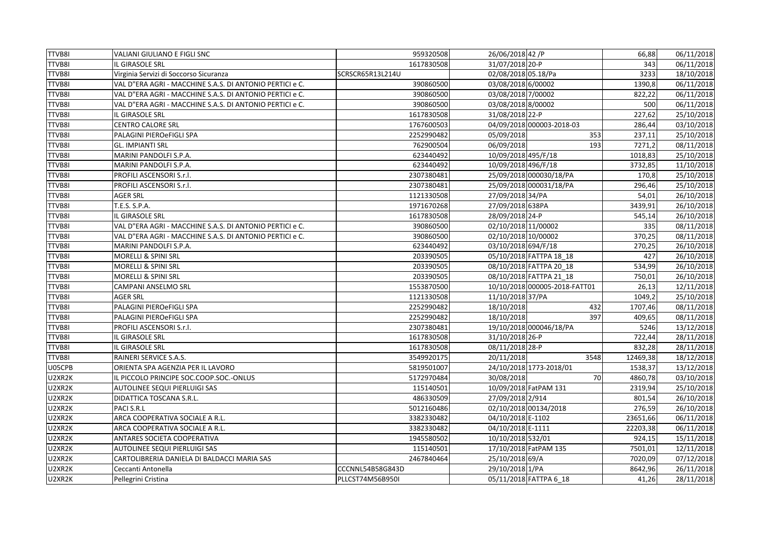| <b>TTVB8I</b> | <b>VALIANI GIULIANO E FIGLI SNC</b>                      | 959320508        | 26/06/2018 42 /P    |                               | 66,88    | 06/11/2018              |
|---------------|----------------------------------------------------------|------------------|---------------------|-------------------------------|----------|-------------------------|
| TTVB8I        | IL GIRASOLE SRL                                          | 1617830508       | 31/07/2018 20-P     |                               | 343      | 06/11/2018              |
| TTVB8I        | Virginia Servizi di Soccorso Sicuranza                   | SCRSCR65R13L214U | 02/08/2018 05.18/Pa |                               | 3233     | 18/10/2018              |
| TTVB8I        | VAL D"ERA AGRI - MACCHINE S.A.S. DI ANTONIO PERTICI e C. | 390860500        | 03/08/2018 6/00002  |                               | 1390,8   | 06/11/2018              |
| TTVB8I        | VAL D"ERA AGRI - MACCHINE S.A.S. DI ANTONIO PERTICI e C. | 390860500        | 03/08/2018 7/00002  |                               | 822,22   | 06/11/2018              |
| TTVB8I        | VAL D"ERA AGRI - MACCHINE S.A.S. DI ANTONIO PERTICI e C. | 390860500        | 03/08/2018 8/00002  |                               | 500      | 06/11/2018              |
| TTVB8I        | IL GIRASOLE SRL                                          | 1617830508       | 31/08/2018 22-P     |                               | 227,62   | 25/10/2018              |
| TTVB8I        | <b>CENTRO CALORE SRL</b>                                 | 1767600503       |                     | 04/09/2018 000003-2018-03     | 286,44   | 03/10/2018              |
| TTVB8I        | PALAGINI PIEROeFIGLI SPA                                 | 2252990482       | 05/09/2018          | 353                           | 237,11   | 25/10/2018              |
| TTVB8I        | <b>GL. IMPIANTI SRL</b>                                  | 762900504        | 06/09/2018          | 193                           | 7271,2   | 08/11/2018              |
| TTVB8I        | MARINI PANDOLFI S.P.A.                                   | 623440492        | 10/09/2018 495/F/18 |                               | 1018,83  | 25/10/2018              |
| TTVB8I        | MARINI PANDOLFI S.P.A.                                   | 623440492        | 10/09/2018 496/F/18 |                               | 3732,85  | 11/10/2018              |
| TTVB8I        | PROFILI ASCENSORI S.r.l.                                 | 2307380481       |                     | 25/09/2018 000030/18/PA       | 170.8    | 25/10/2018              |
| TTVB8I        | PROFILI ASCENSORI S.r.l.                                 | 2307380481       |                     | 25/09/2018 000031/18/PA       | 296,46   | 25/10/2018              |
| TTVB8I        | AGER SRL                                                 | 1121330508       | 27/09/2018 34/PA    |                               | 54,01    | 26/10/2018              |
| TTVB8I        | T.E.S. S.P.A.                                            | 1971670268       | 27/09/2018 638PA    |                               | 3439,91  | 26/10/2018              |
| TTVB8I        | IL GIRASOLE SRL                                          | 1617830508       | 28/09/2018 24-P     |                               | 545,14   | 26/10/2018              |
| TTVB8I        | VAL D"ERA AGRI - MACCHINE S.A.S. DI ANTONIO PERTICI e C. | 390860500        | 02/10/2018 11/00002 |                               | 335      | 08/11/2018              |
| TTVB8I        | VAL D"ERA AGRI - MACCHINE S.A.S. DI ANTONIO PERTICI e C. | 390860500        | 02/10/2018 10/00002 |                               | 370,25   | 08/11/2018              |
| TTVB8I        | MARINI PANDOLFI S.P.A.                                   | 623440492        | 03/10/2018 694/F/18 |                               | 270,25   | 26/10/2018              |
| TTVB8I        | MORELLI & SPINI SRL                                      | 203390505        |                     | 05/10/2018 FATTPA 18 18       | 427      | 26/10/2018              |
| TTVB8I        | MORELLI & SPINI SRL                                      | 203390505        |                     | 08/10/2018 FATTPA 20 18       | 534,99   | 26/10/2018              |
| TTVB8I        | MORELLI & SPINI SRL                                      | 203390505        |                     | 08/10/2018 FATTPA 21_18       | 750,01   | 26/10/2018              |
| TTVB8I        | CAMPANI ANSELMO SRL                                      | 1553870500       |                     | 10/10/2018 000005-2018-FATT01 | 26,13    | 12/11/2018              |
| TTVB8I        | <b>AGER SRL</b>                                          | 1121330508       | 11/10/2018 37/PA    |                               | 1049.2   | 25/10/2018              |
| TTVB8I        | PALAGINI PIEROeFIGLI SPA                                 | 2252990482       | 18/10/2018          | 432                           | 1707,46  | 08/11/2018              |
| TTVB8I        | PALAGINI PIEROeFIGLI SPA                                 | 2252990482       | 18/10/2018          | 397                           | 409,65   | 08/11/2018              |
| TTVB8I        | PROFILI ASCENSORI S.r.l.                                 | 2307380481       |                     | 19/10/2018 000046/18/PA       | 5246     | 13/12/2018              |
| TTVB8I        | IL GIRASOLE SRL                                          | 1617830508       | 31/10/2018 26-P     |                               | 722,44   | 28/11/2018              |
| TTVB8I        | IL GIRASOLE SRL                                          | 1617830508       | 08/11/2018 28-P     |                               | 832,28   | 28/11/2018              |
| TTVB8I        | RAINERI SERVICE S.A.S.                                   | 3549920175       | 20/11/2018          | 3548                          | 12469,38 | 18/12/2018              |
| U05CPB        | ORIENTA SPA AGENZIA PER IL LAVORO                        | 5819501007       |                     | 24/10/2018 1773-2018/01       | 1538,37  | 13/12/2018              |
| U2XR2K        | IL PICCOLO PRINCIPE SOC.COOP.SOC.-ONLUS                  | 5172970484       | 30/08/2018          | 70                            | 4860,78  | 03/10/2018              |
| U2XR2K        | AUTOLINEE SEQUI PIERLUIGI SAS                            | 115140501        |                     | 10/09/2018 FatPAM 131         | 2319,94  | 25/10/2018              |
| U2XR2K        | DIDATTICA TOSCANA S.R.L.                                 | 486330509        | 27/09/2018 2/914    |                               | 801,54   | 26/10/2018              |
| U2XR2K        | PACI S.R.L                                               | 5012160486       |                     | 02/10/2018 00134/2018         | 276,59   | 26/10/2018              |
| U2XR2K        | ARCA COOPERATIVA SOCIALE A R.L.                          | 3382330482       | 04/10/2018 E-1102   |                               | 23651,66 | 06/11/2018              |
| U2XR2K        | ARCA COOPERATIVA SOCIALE A R.L.                          | 3382330482       | 04/10/2018 E-1111   |                               | 22203,38 | 06/11/2018              |
| U2XR2K        | ANTARES SOCIETA COOPERATIVA                              | 1945580502       | 10/10/2018 532/01   |                               | 924,15   | 15/11/2018              |
| U2XR2K        | AUTOLINEE SEQUI PIERLUIGI SAS                            | 115140501        |                     | 17/10/2018 FatPAM 135         | 7501,01  | $\overline{12}/11/2018$ |
| U2XR2K        | CARTOLIBRERIA DANIELA DI BALDACCI MARIA SAS              | 2467840464       | 25/10/2018 69/A     |                               | 7020,09  | 07/12/2018              |
| U2XR2K        | Ceccanti Antonella                                       | CCCNNL54B58G843D | 29/10/2018 1/PA     |                               | 8642,96  | 26/11/2018              |
| U2XR2K        | Pellegrini Cristina                                      | PLLCST74M56B950I |                     | 05/11/2018 FATTPA 6_18        | 41,26    | 28/11/2018              |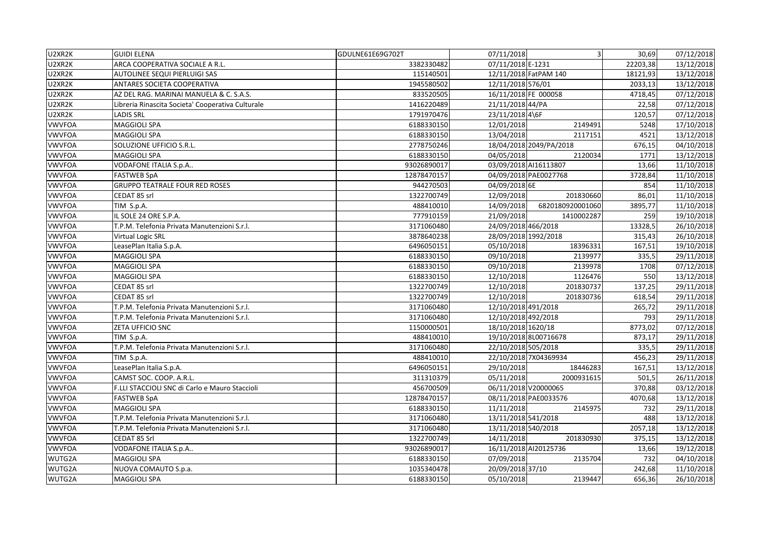| U2XR2K        | <b>GUIDI ELENA</b>                                | GDULNE61E69G702T | 07/11/2018           | $\mathbf{3}$            | 30,69    | 07/12/2018 |
|---------------|---------------------------------------------------|------------------|----------------------|-------------------------|----------|------------|
| U2XR2K        | ARCA COOPERATIVA SOCIALE A R.L.                   | 3382330482       | 07/11/2018 E-1231    |                         | 22203,38 | 13/12/2018 |
| U2XR2K        | AUTOLINEE SEQUI PIERLUIGI SAS                     | 115140501        |                      | 12/11/2018 FatPAM 140   | 18121,93 | 13/12/2018 |
| U2XR2K        | ANTARES SOCIETA COOPERATIVA                       | 1945580502       | 12/11/2018 576/01    |                         | 2033,13  | 13/12/2018 |
| U2XR2K        | AZ DEL RAG. MARINAI MANUELA & C. S.A.S.           | 833520505        | 16/11/2018 FE 000058 |                         | 4718,45  | 07/12/2018 |
| U2XR2K        | Libreria Rinascita Societa' Cooperativa Culturale | 1416220489       | 21/11/2018 44/PA     |                         | 22,58    | 07/12/2018 |
| U2XR2K        | LADIS SRL                                         | 1791970476       | 23/11/2018 4\6F      |                         | 120,57   | 07/12/2018 |
| <b>VWVFOA</b> | MAGGIOLI SPA                                      | 6188330150       | 12/01/2018           | 2149491                 | 5248     | 17/10/2018 |
| <b>VWVFOA</b> | MAGGIOLI SPA                                      | 6188330150       | 13/04/2018           | 2117151                 | 4521     | 13/12/2018 |
| <b>VWVFOA</b> | SOLUZIONE UFFICIO S.R.L.                          | 2778750246       |                      | 18/04/2018 2049/PA/2018 | 676,15   | 04/10/2018 |
| <b>VWVFOA</b> | MAGGIOLI SPA                                      | 6188330150       | 04/05/2018           | 2120034                 | 1771     | 13/12/2018 |
| <b>VWVFOA</b> | VODAFONE ITALIA S.p.A                             | 93026890017      |                      | 03/09/2018 AI16113807   | 13,66    | 11/10/2018 |
| <b>VWVFOA</b> | <b>FASTWEB SpA</b>                                | 12878470157      |                      | 04/09/2018 PAE0027768   | 3728,84  | 11/10/2018 |
| <b>VWVFOA</b> | <b>GRUPPO TEATRALE FOUR RED ROSES</b>             | 944270503        | 04/09/2018 6E        |                         | 854      | 11/10/2018 |
| <b>VWVFOA</b> | CEDAT 85 srl                                      | 1322700749       | 12/09/2018           | 201830660               | 86,01    | 11/10/2018 |
| <b>VWVFOA</b> | TIM S.p.A.                                        | 488410010        | 14/09/2018           | 6820180920001060        | 3895,77  | 11/10/2018 |
| <b>VWVFOA</b> | IL SOLE 24 ORE S.P.A.                             | 777910159        | 21/09/2018           | 1410002287              | 259      | 19/10/2018 |
| <b>VWVFOA</b> | T.P.M. Telefonia Privata Manutenzioni S.r.l.      | 3171060480       | 24/09/2018 466/2018  |                         | 13328,5  | 26/10/2018 |
| <b>VWVFOA</b> | Virtual Logic SRL                                 | 3878640238       | 28/09/2018 1992/2018 |                         | 315,43   | 26/10/2018 |
| <b>VWVFOA</b> | LeasePlan Italia S.p.A.                           | 6496050151       | 05/10/2018           | 18396331                | 167,51   | 19/10/2018 |
| <b>VWVFOA</b> | MAGGIOLI SPA                                      | 6188330150       | 09/10/2018           | 2139977                 | 335,5    | 29/11/2018 |
| <b>VWVFOA</b> | MAGGIOLI SPA                                      | 6188330150       | 09/10/2018           | 2139978                 | 1708     | 07/12/2018 |
| <b>VWVFOA</b> | MAGGIOLI SPA                                      | 6188330150       | 12/10/2018           | 1126476                 | 550      | 13/12/2018 |
| <b>VWVFOA</b> | CEDAT 85 srl                                      | 1322700749       | 12/10/2018           | 201830737               | 137,25   | 29/11/2018 |
| <b>VWVFOA</b> | CEDAT 85 srl                                      | 1322700749       | 12/10/2018           | 201830736               | 618,54   | 29/11/2018 |
| <b>VWVFOA</b> | T.P.M. Telefonia Privata Manutenzioni S.r.l.      | 3171060480       | 12/10/2018 491/2018  |                         | 265,72   | 29/11/2018 |
| <b>VWVFOA</b> | T.P.M. Telefonia Privata Manutenzioni S.r.l.      | 3171060480       | 12/10/2018 492/2018  |                         | 793      | 29/11/2018 |
| <b>VWVFOA</b> | ZETA UFFICIO SNC                                  | 1150000501       | 18/10/2018 1620/18   |                         | 8773,02  | 07/12/2018 |
| <b>VWVFOA</b> | TIM S.p.A.                                        | 488410010        |                      | 19/10/2018 8L00716678   | 873,17   | 29/11/2018 |
| <b>VWVFOA</b> | T.P.M. Telefonia Privata Manutenzioni S.r.l.      | 3171060480       | 22/10/2018 505/2018  |                         | 335,5    | 29/11/2018 |
| <b>VWVFOA</b> | TIM S.p.A.                                        | 488410010        |                      | 22/10/2018 7X04369934   | 456,23   | 29/11/2018 |
| <b>VWVFOA</b> | LeasePlan Italia S.p.A.                           | 6496050151       | 29/10/2018           | 18446283                | 167,51   | 13/12/2018 |
| <b>VWVFOA</b> | CAMST SOC. COOP. A.R.L.                           | 311310379        | 05/11/2018           | 2000931615              | 501,5    | 26/11/2018 |
| <b>VWVFOA</b> | F.LLI STACCIOLI SNC di Carlo e Mauro Staccioli    | 456700509        |                      | 06/11/2018 V20000065    | 370,88   | 03/12/2018 |
| <b>VWVFOA</b> | <b>FASTWEB SpA</b>                                | 12878470157      |                      | 08/11/2018 PAE0033576   | 4070,68  | 13/12/2018 |
| <b>VWVFOA</b> | <b>MAGGIOLI SPA</b>                               | 6188330150       | 11/11/2018           | 2145975                 | 732      | 29/11/2018 |
| <b>VWVFOA</b> | T.P.M. Telefonia Privata Manutenzioni S.r.l.      | 3171060480       | 13/11/2018 541/2018  |                         | 488      | 13/12/2018 |
| <b>VWVFOA</b> | T.P.M. Telefonia Privata Manutenzioni S.r.l.      | 3171060480       | 13/11/2018 540/2018  |                         | 2057,18  | 13/12/2018 |
| <b>VWVFOA</b> | CEDAT 85 Srl                                      | 1322700749       | 14/11/2018           | 201830930               | 375,15   | 13/12/2018 |
| <b>VWVFOA</b> | VODAFONE ITALIA S.p.A                             | 93026890017      |                      | 16/11/2018 Al20125736   | 13,66    | 19/12/2018 |
| WUTG2A        | MAGGIOLI SPA                                      | 6188330150       | 07/09/2018           | 2135704                 | 732      | 04/10/2018 |
| WUTG2A        | NUOVA COMAUTO S.p.a.                              | 1035340478       | 20/09/2018 37/10     |                         | 242,68   | 11/10/2018 |
| WUTG2A        | MAGGIOLI SPA                                      | 6188330150       | 05/10/2018           | 2139447                 | 656,36   | 26/10/2018 |